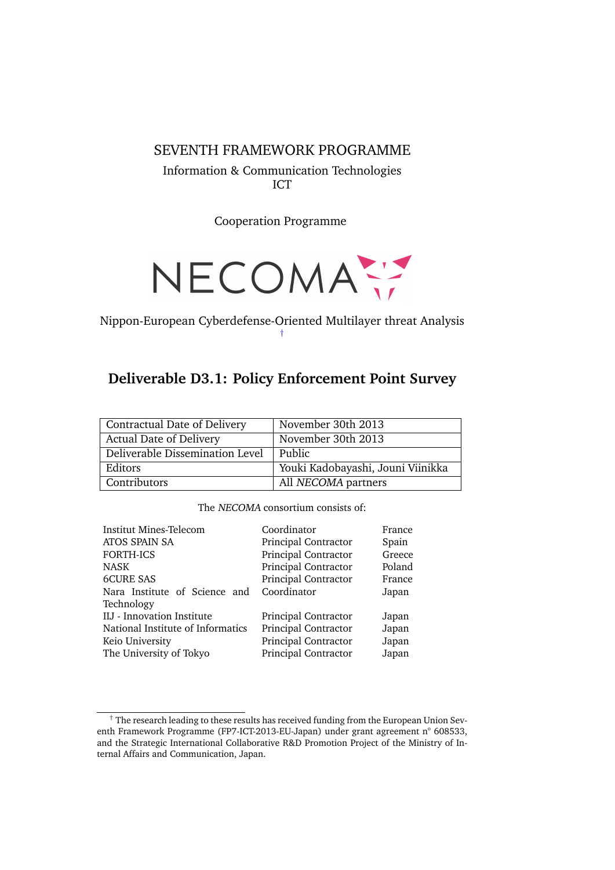# SEVENTH FRAMEWORK PROGRAMME

Information & Communication Technologies ICT

Cooperation Programme



Nippon-European Cyberdefense-Oriented Multilayer threat Analysis [†](#page-0-0)

# **Deliverable D3.1: Policy Enforcement Point Survey**

| Contractual Date of Delivery    | November 30th 2013                |
|---------------------------------|-----------------------------------|
| <b>Actual Date of Delivery</b>  | November 30th 2013                |
| Deliverable Dissemination Level | Public                            |
| Editors                         | Youki Kadobayashi, Jouni Viinikka |
| <b>Contributors</b>             | All NECOMA partners               |

#### The NECOMA consortium consists of:

| <b>Institut Mines-Telecom</b>     | Coordinator          | France |  |  |
|-----------------------------------|----------------------|--------|--|--|
| ATOS SPAIN SA                     | Principal Contractor | Spain  |  |  |
| <b>FORTH-ICS</b>                  | Principal Contractor | Greece |  |  |
| <b>NASK</b>                       | Principal Contractor | Poland |  |  |
| <b>6CURE SAS</b>                  | Principal Contractor | France |  |  |
| Nara Institute of Science and     | Coordinator          | Japan  |  |  |
| Technology                        |                      |        |  |  |
| IIJ - Innovation Institute        | Principal Contractor | Japan  |  |  |
| National Institute of Informatics | Principal Contractor | Japan  |  |  |
| Keio University                   | Principal Contractor | Japan  |  |  |
| The University of Tokyo           | Principal Contractor | Japan  |  |  |
|                                   |                      |        |  |  |

<span id="page-0-0"></span><sup>†</sup> The research leading to these results has received funding from the European Union Seventh Framework Programme (FP7-ICT-2013-EU-Japan) under grant agreement n° 608533, and the Strategic International Collaborative R&D Promotion Project of the Ministry of Internal Affairs and Communication, Japan.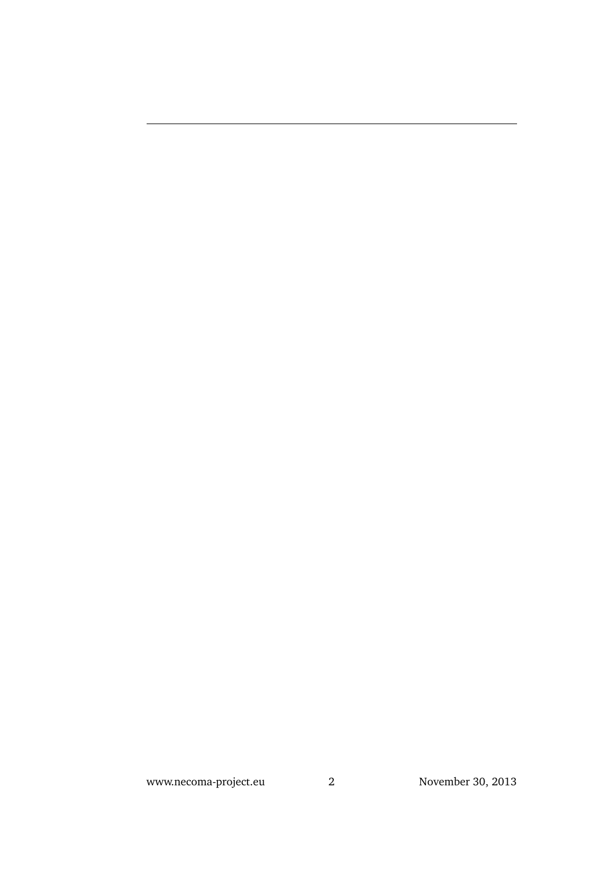www.necoma-project.eu 2 November 30, 2013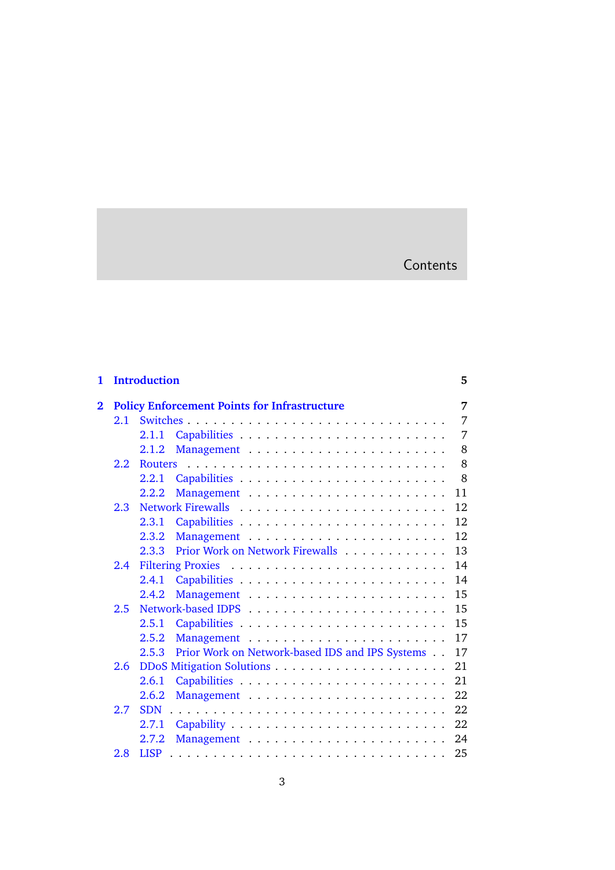# **Contents**

| 1              |         | <b>Introduction</b>                                      | 5  |
|----------------|---------|----------------------------------------------------------|----|
| $\overline{2}$ |         | <b>Policy Enforcement Points for Infrastructure</b>      | 7  |
|                | 2.1     |                                                          | 7  |
|                |         | 2.1.1                                                    | 7  |
|                |         | 2.1.2                                                    | 8  |
|                | $2.2\,$ |                                                          | 8  |
|                |         | 2.2.1                                                    | 8  |
|                |         | 2.2.2                                                    | 11 |
|                | 2.3     |                                                          | 12 |
|                |         | 2.3.1                                                    | 12 |
|                |         | 2.3.2                                                    | 12 |
|                |         | Prior Work on Network Firewalls<br>2.3.3                 | 13 |
|                | 2.4     |                                                          | 14 |
|                |         | 2.4.1                                                    | 14 |
|                |         | 2.4.2                                                    | 15 |
|                | 2.5     |                                                          | 15 |
|                |         | 2.5.1                                                    | 15 |
|                |         | 2.5.2                                                    | 17 |
|                |         | Prior Work on Network-based IDS and IPS Systems<br>2.5.3 | 17 |
|                | 2.6     | 21                                                       |    |
|                |         | 2.6.1                                                    | 21 |
|                |         | 22<br>2.6.2                                              |    |
|                | 2.7     | <b>SDN</b><br>22                                         |    |
|                |         | 2.7.1                                                    | 22 |
|                |         | 2.7.2                                                    | 24 |
|                | 2.8     | <b>LISP</b>                                              | 25 |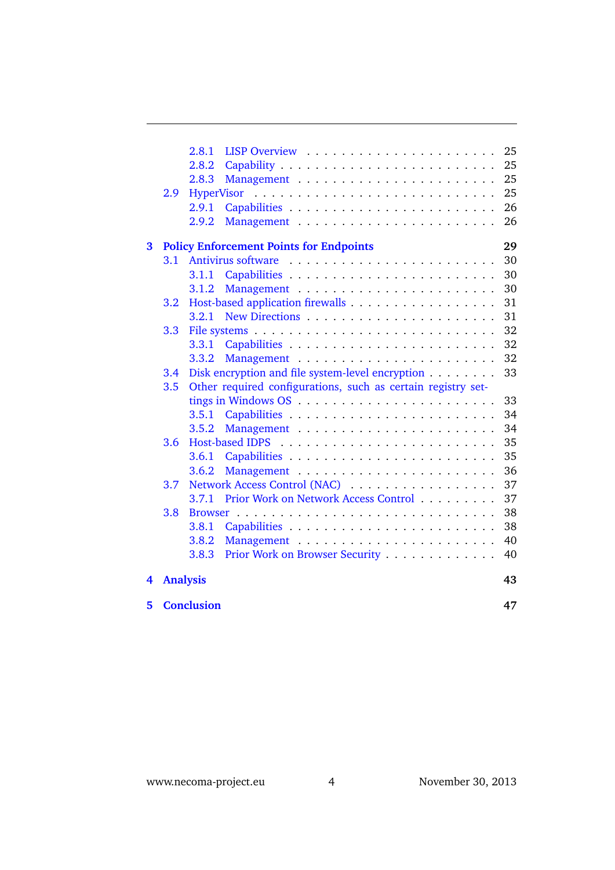| 5 |     | <b>Conclusion</b>                                                     | 47       |
|---|-----|-----------------------------------------------------------------------|----------|
| 4 |     | <b>Analysis</b>                                                       | 43       |
|   |     | Prior Work on Browser Security<br>3.8.3                               | 40       |
|   |     | 3.8.2                                                                 | 40       |
|   |     | 3.8.1                                                                 | 38       |
|   | 3.8 | <b>Browser</b>                                                        | 38       |
|   |     | Prior Work on Network Access Control<br>3.7.1                         | 37       |
|   | 3.7 | Network Access Control (NAC)                                          | 37       |
|   |     | 3.6.2                                                                 | 36       |
|   |     | 3.6.1                                                                 | 35       |
|   | 3.6 |                                                                       | 35       |
|   |     | 3.5.2                                                                 | 34       |
|   |     | 3.5.1                                                                 | 34       |
|   |     | tings in Windows $OS \dots \dots \dots \dots \dots \dots \dots \dots$ | 33       |
|   | 3.5 | Other required configurations, such as certain registry set-          |          |
|   | 3.4 | Disk encryption and file system-level encryption                      | 33       |
|   |     | 3.3.2                                                                 | 32       |
|   |     | 3.3.1                                                                 | 32       |
|   | 3.3 |                                                                       | 32       |
|   | 3.2 | Host-based application firewalls<br>3.2.1                             | 31<br>31 |
|   |     | 3.1.2                                                                 | 30       |
|   |     | 3.1.1                                                                 | 30       |
|   | 3.1 | Antivirus software                                                    | 30       |
| 3 |     | <b>Policy Enforcement Points for Endpoints</b>                        | 29       |
|   |     | 2.9.2                                                                 | 26       |
|   |     | 2.9.1                                                                 | 26       |
|   | 2.9 |                                                                       | 25       |
|   |     | 2.8.3                                                                 | 25       |
|   |     | 2.8.2                                                                 | 25       |
|   |     | 2.8.1                                                                 | 25       |
|   |     |                                                                       |          |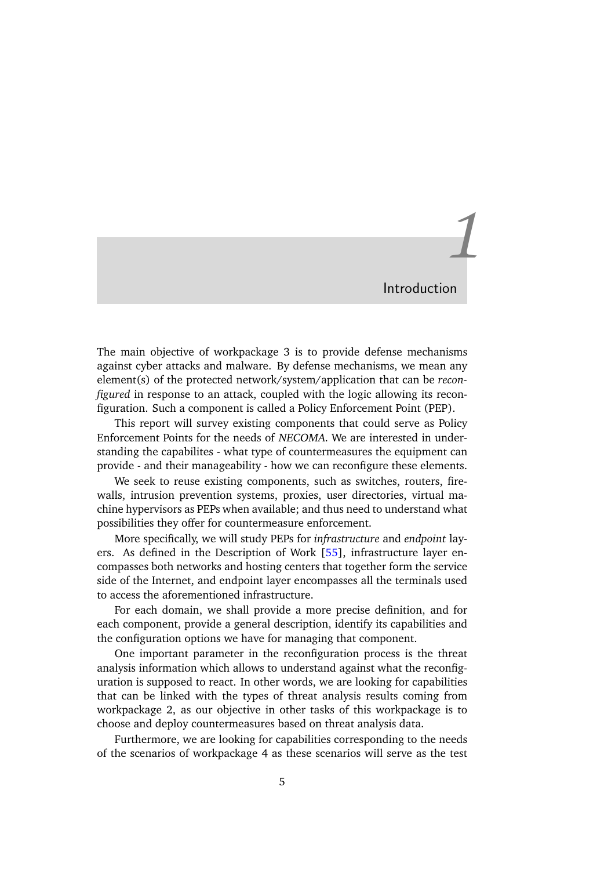# *1*

Introduction

<span id="page-4-0"></span>The main objective of workpackage 3 is to provide defense mechanisms against cyber attacks and malware. By defense mechanisms, we mean any element(s) of the protected network/system/application that can be *reconfigured* in response to an attack, coupled with the logic allowing its reconfiguration. Such a component is called a Policy Enforcement Point (PEP).

This report will survey existing components that could serve as Policy Enforcement Points for the needs of NECOMA. We are interested in understanding the capabilites - what type of countermeasures the equipment can provide - and their manageability - how we can reconfigure these elements.

We seek to reuse existing components, such as switches, routers, firewalls, intrusion prevention systems, proxies, user directories, virtual machine hypervisors as PEPs when available; and thus need to understand what possibilities they offer for countermeasure enforcement.

More specifically, we will study PEPs for *infrastructure* and *endpoint* layers. As defined in the Description of Work [\[55\]](#page-51-0), infrastructure layer encompasses both networks and hosting centers that together form the service side of the Internet, and endpoint layer encompasses all the terminals used to access the aforementioned infrastructure.

For each domain, we shall provide a more precise definition, and for each component, provide a general description, identify its capabilities and the configuration options we have for managing that component.

One important parameter in the reconfiguration process is the threat analysis information which allows to understand against what the reconfiguration is supposed to react. In other words, we are looking for capabilities that can be linked with the types of threat analysis results coming from workpackage 2, as our objective in other tasks of this workpackage is to choose and deploy countermeasures based on threat analysis data.

Furthermore, we are looking for capabilities corresponding to the needs of the scenarios of workpackage 4 as these scenarios will serve as the test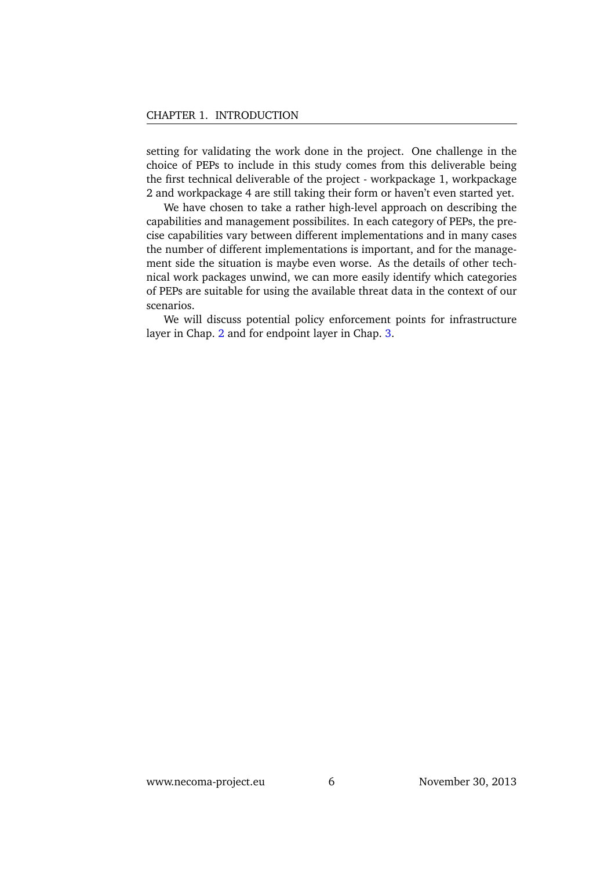setting for validating the work done in the project. One challenge in the choice of PEPs to include in this study comes from this deliverable being the first technical deliverable of the project - workpackage 1, workpackage 2 and workpackage 4 are still taking their form or haven't even started yet.

We have chosen to take a rather high-level approach on describing the capabilities and management possibilites. In each category of PEPs, the precise capabilities vary between different implementations and in many cases the number of different implementations is important, and for the management side the situation is maybe even worse. As the details of other technical work packages unwind, we can more easily identify which categories of PEPs are suitable for using the available threat data in the context of our scenarios.

We will discuss potential policy enforcement points for infrastructure layer in Chap. [2](#page-6-0) and for endpoint layer in Chap. [3.](#page-28-0)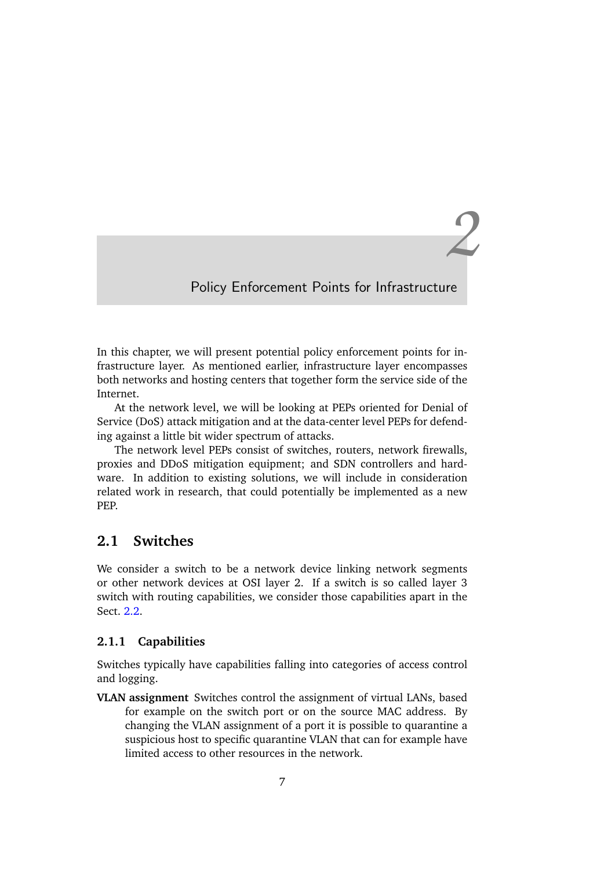# <span id="page-6-0"></span>*2* Policy Enforcement Points for Infrastructure

In this chapter, we will present potential policy enforcement points for infrastructure layer. As mentioned earlier, infrastructure layer encompasses both networks and hosting centers that together form the service side of the Internet.

At the network level, we will be looking at PEPs oriented for Denial of Service (DoS) attack mitigation and at the data-center level PEPs for defending against a little bit wider spectrum of attacks.

The network level PEPs consist of switches, routers, network firewalls, proxies and DDoS mitigation equipment; and SDN controllers and hardware. In addition to existing solutions, we will include in consideration related work in research, that could potentially be implemented as a new PEP.

# <span id="page-6-1"></span>**2.1 Switches**

We consider a switch to be a network device linking network segments or other network devices at OSI layer 2. If a switch is so called layer 3 switch with routing capabilities, we consider those capabilities apart in the Sect. [2.2.](#page-7-1)

#### <span id="page-6-2"></span>**2.1.1 Capabilities**

Switches typically have capabilities falling into categories of access control and logging.

**VLAN assignment** Switches control the assignment of virtual LANs, based for example on the switch port or on the source MAC address. By changing the VLAN assignment of a port it is possible to quarantine a suspicious host to specific quarantine VLAN that can for example have limited access to other resources in the network.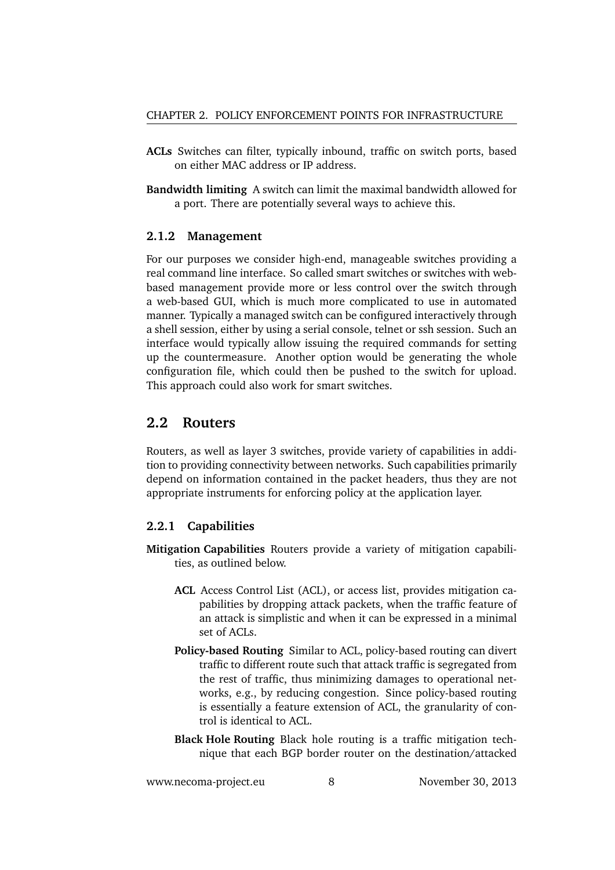- **ACLs** Switches can filter, typically inbound, traffic on switch ports, based on either MAC address or IP address.
- **Bandwidth limiting** A switch can limit the maximal bandwidth allowed for a port. There are potentially several ways to achieve this.

### <span id="page-7-0"></span>**2.1.2 Management**

For our purposes we consider high-end, manageable switches providing a real command line interface. So called smart switches or switches with webbased management provide more or less control over the switch through a web-based GUI, which is much more complicated to use in automated manner. Typically a managed switch can be configured interactively through a shell session, either by using a serial console, telnet or ssh session. Such an interface would typically allow issuing the required commands for setting up the countermeasure. Another option would be generating the whole configuration file, which could then be pushed to the switch for upload. This approach could also work for smart switches.

# <span id="page-7-1"></span>**2.2 Routers**

Routers, as well as layer 3 switches, provide variety of capabilities in addition to providing connectivity between networks. Such capabilities primarily depend on information contained in the packet headers, thus they are not appropriate instruments for enforcing policy at the application layer.

#### <span id="page-7-2"></span>**2.2.1 Capabilities**

- **Mitigation Capabilities** Routers provide a variety of mitigation capabilities, as outlined below.
	- **ACL** Access Control List (ACL), or access list, provides mitigation capabilities by dropping attack packets, when the traffic feature of an attack is simplistic and when it can be expressed in a minimal set of ACLs.
	- **Policy-based Routing** Similar to ACL, policy-based routing can divert traffic to different route such that attack traffic is segregated from the rest of traffic, thus minimizing damages to operational networks, e.g., by reducing congestion. Since policy-based routing is essentially a feature extension of ACL, the granularity of control is identical to ACL.
	- **Black Hole Routing** Black hole routing is a traffic mitigation technique that each BGP border router on the destination/attacked

www.necoma-project.eu 8 November 30, 2013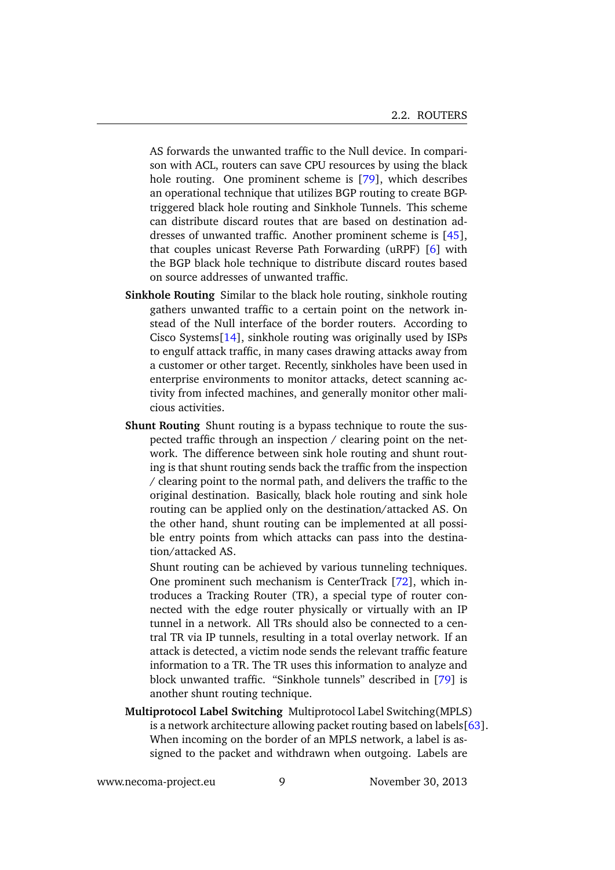AS forwards the unwanted traffic to the Null device. In comparison with ACL, routers can save CPU resources by using the black hole routing. One prominent scheme is [\[79\]](#page-52-0), which describes an operational technique that utilizes BGP routing to create BGPtriggered black hole routing and Sinkhole Tunnels. This scheme can distribute discard routes that are based on destination addresses of unwanted traffic. Another prominent scheme is [\[45\]](#page-50-0), that couples unicast Reverse Path Forwarding (uRPF) [\[6\]](#page-48-0) with the BGP black hole technique to distribute discard routes based on source addresses of unwanted traffic.

- **Sinkhole Routing** Similar to the black hole routing, sinkhole routing gathers unwanted traffic to a certain point on the network instead of the Null interface of the border routers. According to Cisco Systems[\[14\]](#page-49-0), sinkhole routing was originally used by ISPs to engulf attack traffic, in many cases drawing attacks away from a customer or other target. Recently, sinkholes have been used in enterprise environments to monitor attacks, detect scanning activity from infected machines, and generally monitor other malicious activities.
- **Shunt Routing** Shunt routing is a bypass technique to route the suspected traffic through an inspection / clearing point on the network. The difference between sink hole routing and shunt routing is that shunt routing sends back the traffic from the inspection / clearing point to the normal path, and delivers the traffic to the original destination. Basically, black hole routing and sink hole routing can be applied only on the destination/attacked AS. On the other hand, shunt routing can be implemented at all possible entry points from which attacks can pass into the destination/attacked AS.

Shunt routing can be achieved by various tunneling techniques. One prominent such mechanism is CenterTrack [\[72\]](#page-52-1), which introduces a Tracking Router (TR), a special type of router connected with the edge router physically or virtually with an IP tunnel in a network. All TRs should also be connected to a central TR via IP tunnels, resulting in a total overlay network. If an attack is detected, a victim node sends the relevant traffic feature information to a TR. The TR uses this information to analyze and block unwanted traffic. "Sinkhole tunnels" described in [\[79\]](#page-52-0) is another shunt routing technique.

# **Multiprotocol Label Switching** Multiprotocol Label Switching(MPLS) is a network architecture allowing packet routing based on labels[\[63\]](#page-51-1).

When incoming on the border of an MPLS network, a label is assigned to the packet and withdrawn when outgoing. Labels are

www.necoma-project.eu 9 November 30, 2013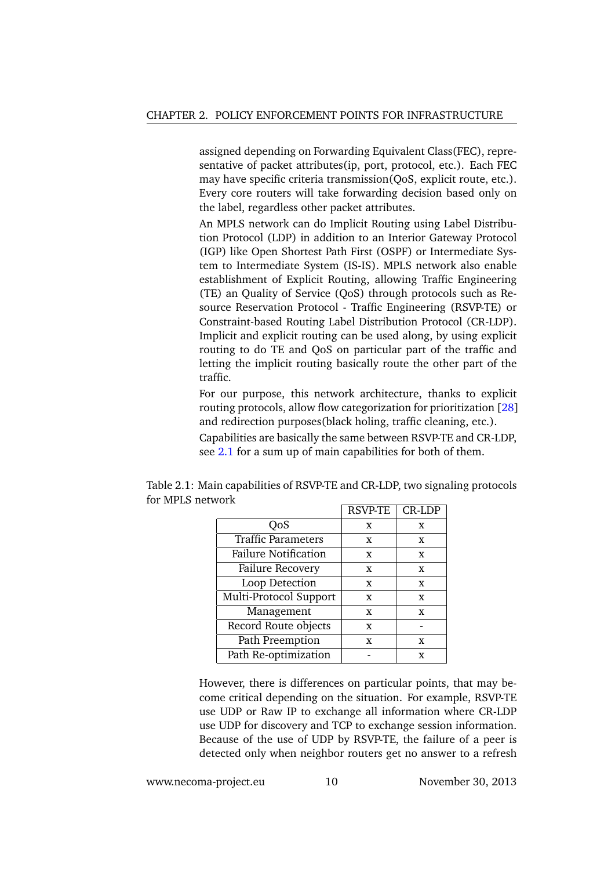assigned depending on Forwarding Equivalent Class(FEC), representative of packet attributes(ip, port, protocol, etc.). Each FEC may have specific criteria transmission(QoS, explicit route, etc.). Every core routers will take forwarding decision based only on the label, regardless other packet attributes.

An MPLS network can do Implicit Routing using Label Distribution Protocol (LDP) in addition to an Interior Gateway Protocol (IGP) like Open Shortest Path First (OSPF) or Intermediate System to Intermediate System (IS-IS). MPLS network also enable establishment of Explicit Routing, allowing Traffic Engineering (TE) an Quality of Service (QoS) through protocols such as Resource Reservation Protocol - Traffic Engineering (RSVP-TE) or Constraint-based Routing Label Distribution Protocol (CR-LDP). Implicit and explicit routing can be used along, by using explicit routing to do TE and QoS on particular part of the traffic and letting the implicit routing basically route the other part of the traffic.

For our purpose, this network architecture, thanks to explicit routing protocols, allow flow categorization for prioritization [\[28\]](#page-49-1) and redirection purposes(black holing, traffic cleaning, etc.).

Capabilities are basically the same between RSVP-TE and CR-LDP, see [2.1](#page-9-0) for a sum up of main capabilities for both of them.

<span id="page-9-0"></span>

|                             | <b>RSVP-TE</b> | <b>CR-LDP</b> |
|-----------------------------|----------------|---------------|
| QoS                         | X              | X             |
| <b>Traffic Parameters</b>   | X              | X             |
| <b>Failure Notification</b> | X              | X             |
| <b>Failure Recovery</b>     | X              | X             |
| Loop Detection              | X              | X             |
| Multi-Protocol Support      | X              | X             |
| Management                  | X              | X             |
| Record Route objects        | X              |               |
| Path Preemption             | X              | X             |
| Path Re-optimization        |                | X             |

Table 2.1: Main capabilities of RSVP-TE and CR-LDP, two signaling protocols for MPLS network

However, there is differences on particular points, that may become critical depending on the situation. For example, RSVP-TE use UDP or Raw IP to exchange all information where CR-LDP use UDP for discovery and TCP to exchange session information. Because of the use of UDP by RSVP-TE, the failure of a peer is detected only when neighbor routers get no answer to a refresh

www.necoma-project.eu 10 November 30, 2013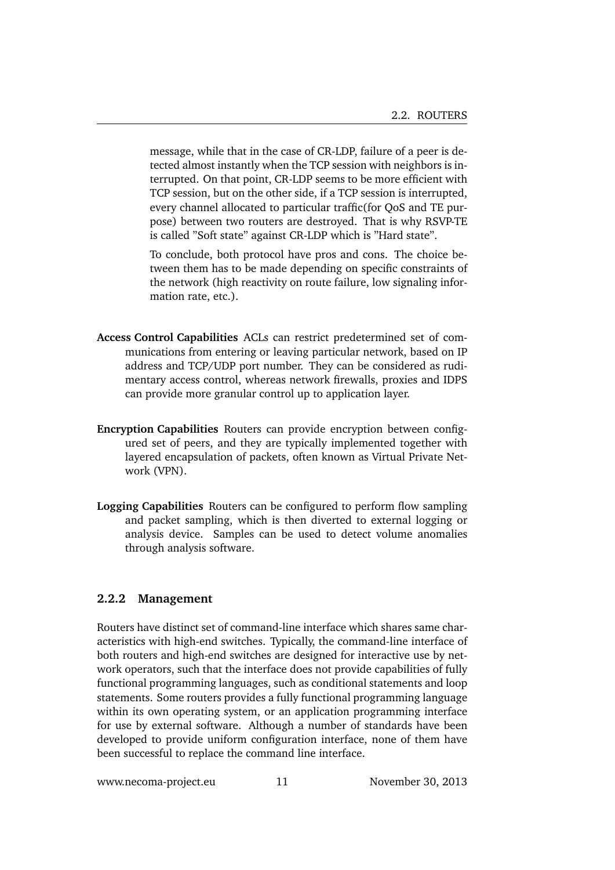message, while that in the case of CR-LDP, failure of a peer is detected almost instantly when the TCP session with neighbors is interrupted. On that point, CR-LDP seems to be more efficient with TCP session, but on the other side, if a TCP session is interrupted, every channel allocated to particular traffic(for QoS and TE purpose) between two routers are destroyed. That is why RSVP-TE is called "Soft state" against CR-LDP which is "Hard state".

To conclude, both protocol have pros and cons. The choice between them has to be made depending on specific constraints of the network (high reactivity on route failure, low signaling information rate, etc.).

- **Access Control Capabilities** ACLs can restrict predetermined set of communications from entering or leaving particular network, based on IP address and TCP/UDP port number. They can be considered as rudimentary access control, whereas network firewalls, proxies and IDPS can provide more granular control up to application layer.
- **Encryption Capabilities** Routers can provide encryption between configured set of peers, and they are typically implemented together with layered encapsulation of packets, often known as Virtual Private Network (VPN).
- **Logging Capabilities** Routers can be configured to perform flow sampling and packet sampling, which is then diverted to external logging or analysis device. Samples can be used to detect volume anomalies through analysis software.

#### <span id="page-10-0"></span>**2.2.2 Management**

Routers have distinct set of command-line interface which shares same characteristics with high-end switches. Typically, the command-line interface of both routers and high-end switches are designed for interactive use by network operators, such that the interface does not provide capabilities of fully functional programming languages, such as conditional statements and loop statements. Some routers provides a fully functional programming language within its own operating system, or an application programming interface for use by external software. Although a number of standards have been developed to provide uniform configuration interface, none of them have been successful to replace the command line interface.

www.necoma-project.eu 11 November 30, 2013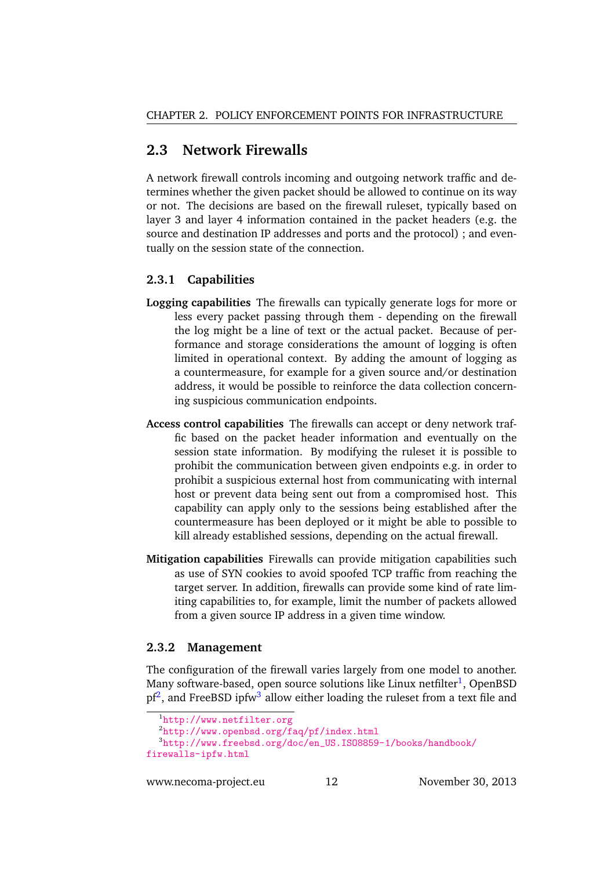# <span id="page-11-0"></span>**2.3 Network Firewalls**

A network firewall controls incoming and outgoing network traffic and determines whether the given packet should be allowed to continue on its way or not. The decisions are based on the firewall ruleset, typically based on layer 3 and layer 4 information contained in the packet headers (e.g. the source and destination IP addresses and ports and the protocol) ; and eventually on the session state of the connection.

# <span id="page-11-1"></span>**2.3.1 Capabilities**

- **Logging capabilities** The firewalls can typically generate logs for more or less every packet passing through them - depending on the firewall the log might be a line of text or the actual packet. Because of performance and storage considerations the amount of logging is often limited in operational context. By adding the amount of logging as a countermeasure, for example for a given source and/or destination address, it would be possible to reinforce the data collection concerning suspicious communication endpoints.
- **Access control capabilities** The firewalls can accept or deny network traffic based on the packet header information and eventually on the session state information. By modifying the ruleset it is possible to prohibit the communication between given endpoints e.g. in order to prohibit a suspicious external host from communicating with internal host or prevent data being sent out from a compromised host. This capability can apply only to the sessions being established after the countermeasure has been deployed or it might be able to possible to kill already established sessions, depending on the actual firewall.
- **Mitigation capabilities** Firewalls can provide mitigation capabilities such as use of SYN cookies to avoid spoofed TCP traffic from reaching the target server. In addition, firewalls can provide some kind of rate limiting capabilities to, for example, limit the number of packets allowed from a given source IP address in a given time window.

# <span id="page-11-2"></span>**2.3.2 Management**

The configuration of the firewall varies largely from one model to another. Many software-based, open source solutions like Linux netfilter<sup>[1](#page-11-3)</sup>, OpenBSD  ${\rm pf}^2$  ${\rm pf}^2$ , and FreeBSD ipfw $^3$  $^3$  allow either loading the ruleset from a text file and

<span id="page-11-3"></span><sup>&</sup>lt;sup>1</sup><http://www.netfilter.org>

<span id="page-11-5"></span><span id="page-11-4"></span><sup>2</sup><http://www.openbsd.org/faq/pf/index.html>

<sup>3</sup>[http://www.freebsd.org/doc/en\\_US.ISO8859-1/books/handbook/](http://www.freebsd.org/doc/en_US.ISO8859-1/books/handbook/firewalls-ipfw.html) [firewalls-ipfw.html](http://www.freebsd.org/doc/en_US.ISO8859-1/books/handbook/firewalls-ipfw.html)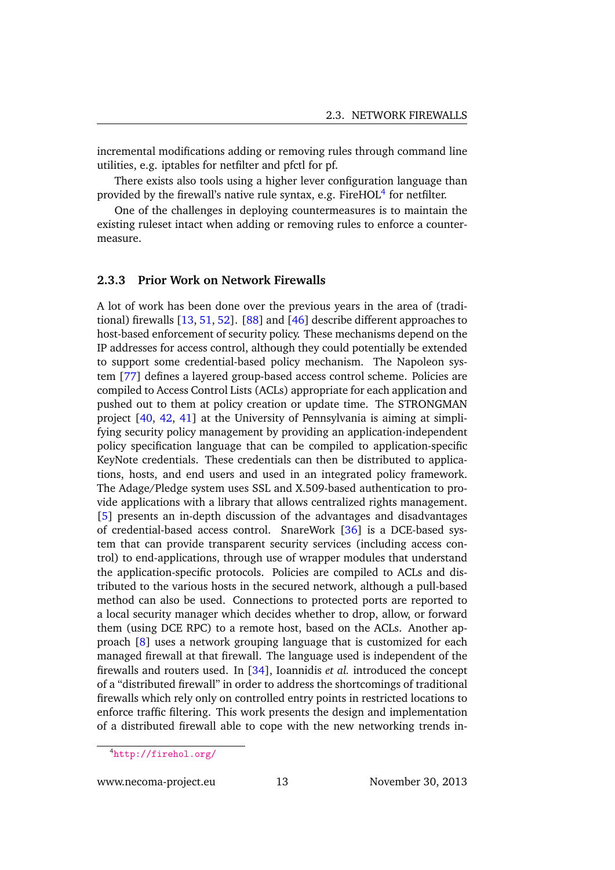incremental modifications adding or removing rules through command line utilities, e.g. iptables for netfilter and pfctl for pf.

There exists also tools using a higher lever configuration language than provided by the firewall's native rule syntax, e.g. FireHOL<sup>[4](#page-12-1)</sup> for netfilter.

One of the challenges in deploying countermeasures is to maintain the existing ruleset intact when adding or removing rules to enforce a countermeasure.

#### <span id="page-12-0"></span>**2.3.3 Prior Work on Network Firewalls**

A lot of work has been done over the previous years in the area of (traditional) firewalls [\[13,](#page-49-2) [51,](#page-51-2) [52\]](#page-51-3). [\[88\]](#page-53-0) and [\[46\]](#page-50-1) describe different approaches to host-based enforcement of security policy. These mechanisms depend on the IP addresses for access control, although they could potentially be extended to support some credential-based policy mechanism. The Napoleon system [\[77\]](#page-52-2) defines a layered group-based access control scheme. Policies are compiled to Access Control Lists (ACLs) appropriate for each application and pushed out to them at policy creation or update time. The STRONGMAN project [\[40,](#page-50-2) [42,](#page-50-3) [41\]](#page-50-4) at the University of Pennsylvania is aiming at simplifying security policy management by providing an application-independent policy specification language that can be compiled to application-specific KeyNote credentials. These credentials can then be distributed to applications, hosts, and end users and used in an integrated policy framework. The Adage/Pledge system uses SSL and X.509-based authentication to provide applications with a library that allows centralized rights management. [\[5\]](#page-48-1) presents an in-depth discussion of the advantages and disadvantages of credential-based access control. SnareWork [\[36\]](#page-50-5) is a DCE-based system that can provide transparent security services (including access control) to end-applications, through use of wrapper modules that understand the application-specific protocols. Policies are compiled to ACLs and distributed to the various hosts in the secured network, although a pull-based method can also be used. Connections to protected ports are reported to a local security manager which decides whether to drop, allow, or forward them (using DCE RPC) to a remote host, based on the ACLs. Another approach [\[8\]](#page-48-2) uses a network grouping language that is customized for each managed firewall at that firewall. The language used is independent of the firewalls and routers used. In [\[34\]](#page-50-6), Ioannidis *et al.* introduced the concept of a "distributed firewall" in order to address the shortcomings of traditional firewalls which rely only on controlled entry points in restricted locations to enforce traffic filtering. This work presents the design and implementation of a distributed firewall able to cope with the new networking trends in-

www.necoma-project.eu 13 November 30, 2013

<span id="page-12-1"></span><sup>4</sup><http://firehol.org/>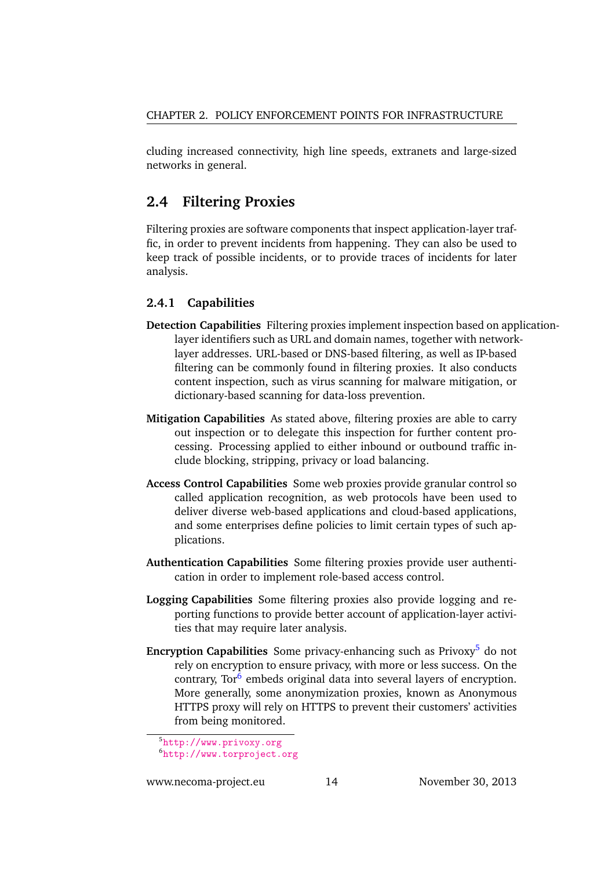cluding increased connectivity, high line speeds, extranets and large-sized networks in general.

# <span id="page-13-0"></span>**2.4 Filtering Proxies**

Filtering proxies are software components that inspect application-layer traffic, in order to prevent incidents from happening. They can also be used to keep track of possible incidents, or to provide traces of incidents for later analysis.

# <span id="page-13-1"></span>**2.4.1 Capabilities**

- **Detection Capabilities** Filtering proxies implement inspection based on applicationlayer identifiers such as URL and domain names, together with networklayer addresses. URL-based or DNS-based filtering, as well as IP-based filtering can be commonly found in filtering proxies. It also conducts content inspection, such as virus scanning for malware mitigation, or dictionary-based scanning for data-loss prevention.
- **Mitigation Capabilities** As stated above, filtering proxies are able to carry out inspection or to delegate this inspection for further content processing. Processing applied to either inbound or outbound traffic include blocking, stripping, privacy or load balancing.
- **Access Control Capabilities** Some web proxies provide granular control so called application recognition, as web protocols have been used to deliver diverse web-based applications and cloud-based applications, and some enterprises define policies to limit certain types of such applications.
- **Authentication Capabilities** Some filtering proxies provide user authentication in order to implement role-based access control.
- **Logging Capabilities** Some filtering proxies also provide logging and reporting functions to provide better account of application-layer activities that may require later analysis.
- **Encryption Capabilities** Some privacy-enhancing such as Privoxy<sup>[5](#page-13-2)</sup> do not rely on encryption to ensure privacy, with more or less success. On the contrary, Tor<sup>[6](#page-13-3)</sup> embeds original data into several layers of encryption. More generally, some anonymization proxies, known as Anonymous HTTPS proxy will rely on HTTPS to prevent their customers' activities from being monitored.

www.necoma-project.eu 14 November 30, 2013

<span id="page-13-3"></span><span id="page-13-2"></span><sup>&</sup>lt;sup>5</sup><http://www.privoxy.org> <sup>6</sup><http://www.torproject.org>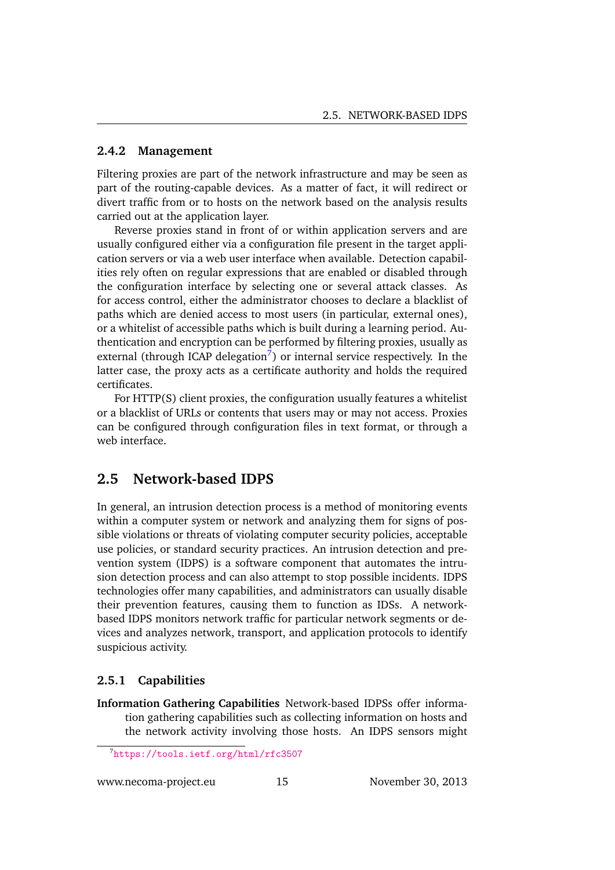#### <span id="page-14-0"></span>**2.4.2 Management**

Filtering proxies are part of the network infrastructure and may be seen as part of the routing-capable devices. As a matter of fact, it will redirect or divert traffic from or to hosts on the network based on the analysis results carried out at the application layer.

Reverse proxies stand in front of or within application servers and are usually configured either via a configuration file present in the target application servers or via a web user interface when available. Detection capabilities rely often on regular expressions that are enabled or disabled through the configuration interface by selecting one or several attack classes. As for access control, either the administrator chooses to declare a blacklist of paths which are denied access to most users (in particular, external ones), or a whitelist of accessible paths which is built during a learning period. Authentication and encryption can be performed by filtering proxies, usually as external (through ICAP delegation<sup>[7](#page-14-3)</sup>) or internal service respectively. In the latter case, the proxy acts as a certificate authority and holds the required certificates.

For HTTP(S) client proxies, the configuration usually features a whitelist or a blacklist of URLs or contents that users may or may not access. Proxies can be configured through configuration files in text format, or through a web interface.

# <span id="page-14-1"></span>**2.5 Network-based IDPS**

In general, an intrusion detection process is a method of monitoring events within a computer system or network and analyzing them for signs of possible violations or threats of violating computer security policies, acceptable use policies, or standard security practices. An intrusion detection and prevention system (IDPS) is a software component that automates the intrusion detection process and can also attempt to stop possible incidents. IDPS technologies offer many capabilities, and administrators can usually disable their prevention features, causing them to function as IDSs. A networkbased IDPS monitors network traffic for particular network segments or devices and analyzes network, transport, and application protocols to identify suspicious activity.

#### <span id="page-14-2"></span>**2.5.1 Capabilities**

**Information Gathering Capabilities** Network-based IDPSs offer information gathering capabilities such as collecting information on hosts and the network activity involving those hosts. An IDPS sensors might

<span id="page-14-3"></span><sup>7</sup><https://tools.ietf.org/html/rfc3507>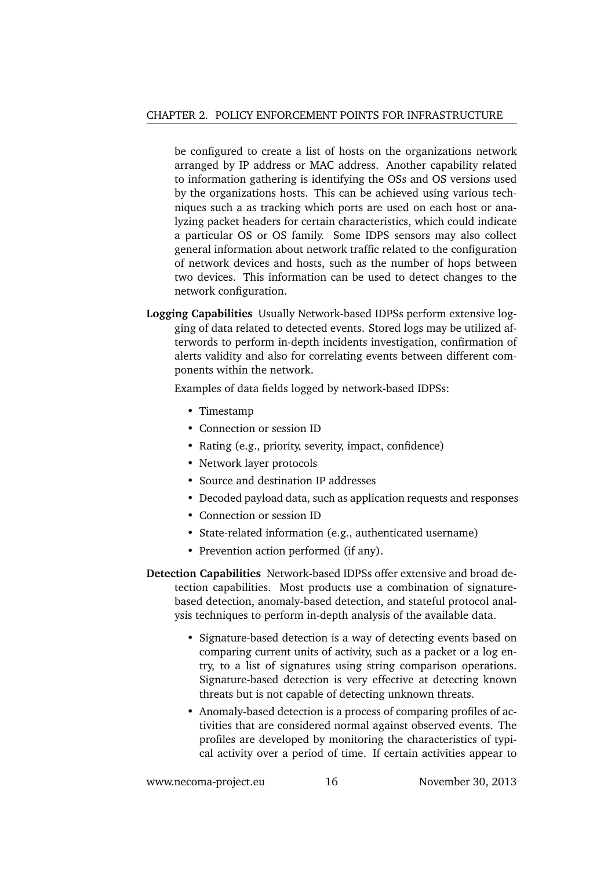be configured to create a list of hosts on the organizations network arranged by IP address or MAC address. Another capability related to information gathering is identifying the OSs and OS versions used by the organizations hosts. This can be achieved using various techniques such a as tracking which ports are used on each host or analyzing packet headers for certain characteristics, which could indicate a particular OS or OS family. Some IDPS sensors may also collect general information about network traffic related to the configuration of network devices and hosts, such as the number of hops between two devices. This information can be used to detect changes to the network configuration.

**Logging Capabilities** Usually Network-based IDPSs perform extensive logging of data related to detected events. Stored logs may be utilized afterwords to perform in-depth incidents investigation, confirmation of alerts validity and also for correlating events between different components within the network.

Examples of data fields logged by network-based IDPSs:

- Timestamp
- Connection or session ID
- Rating (e.g., priority, severity, impact, confidence)
- Network layer protocols
- Source and destination IP addresses
- Decoded payload data, such as application requests and responses
- Connection or session ID
- State-related information (e.g., authenticated username)
- Prevention action performed (if any).

**Detection Capabilities** Network-based IDPSs offer extensive and broad detection capabilities. Most products use a combination of signaturebased detection, anomaly-based detection, and stateful protocol analysis techniques to perform in-depth analysis of the available data.

- Signature-based detection is a way of detecting events based on comparing current units of activity, such as a packet or a log entry, to a list of signatures using string comparison operations. Signature-based detection is very effective at detecting known threats but is not capable of detecting unknown threats.
- Anomaly-based detection is a process of comparing profiles of activities that are considered normal against observed events. The profiles are developed by monitoring the characteristics of typical activity over a period of time. If certain activities appear to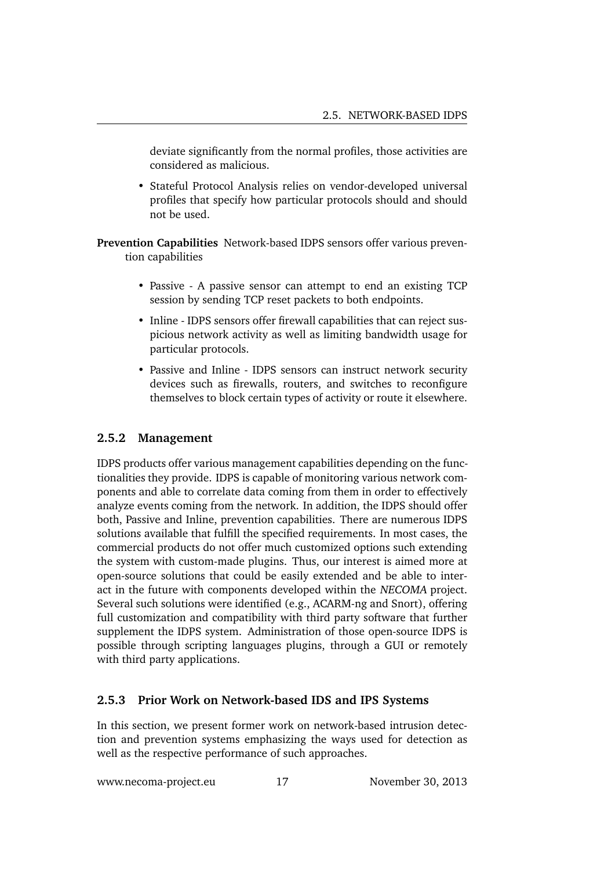deviate significantly from the normal profiles, those activities are considered as malicious.

• Stateful Protocol Analysis relies on vendor-developed universal profiles that specify how particular protocols should and should not be used.

**Prevention Capabilities** Network-based IDPS sensors offer various prevention capabilities

- Passive A passive sensor can attempt to end an existing TCP session by sending TCP reset packets to both endpoints.
- Inline IDPS sensors offer firewall capabilities that can reject suspicious network activity as well as limiting bandwidth usage for particular protocols.
- Passive and Inline IDPS sensors can instruct network security devices such as firewalls, routers, and switches to reconfigure themselves to block certain types of activity or route it elsewhere.

#### <span id="page-16-0"></span>**2.5.2 Management**

IDPS products offer various management capabilities depending on the functionalities they provide. IDPS is capable of monitoring various network components and able to correlate data coming from them in order to effectively analyze events coming from the network. In addition, the IDPS should offer both, Passive and Inline, prevention capabilities. There are numerous IDPS solutions available that fulfill the specified requirements. In most cases, the commercial products do not offer much customized options such extending the system with custom-made plugins. Thus, our interest is aimed more at open-source solutions that could be easily extended and be able to interact in the future with components developed within the NECOMA project. Several such solutions were identified (e.g., ACARM-ng and Snort), offering full customization and compatibility with third party software that further supplement the IDPS system. Administration of those open-source IDPS is possible through scripting languages plugins, through a GUI or remotely with third party applications.

#### <span id="page-16-1"></span>**2.5.3 Prior Work on Network-based IDS and IPS Systems**

In this section, we present former work on network-based intrusion detection and prevention systems emphasizing the ways used for detection as well as the respective performance of such approaches.

www.necoma-project.eu 17 November 30, 2013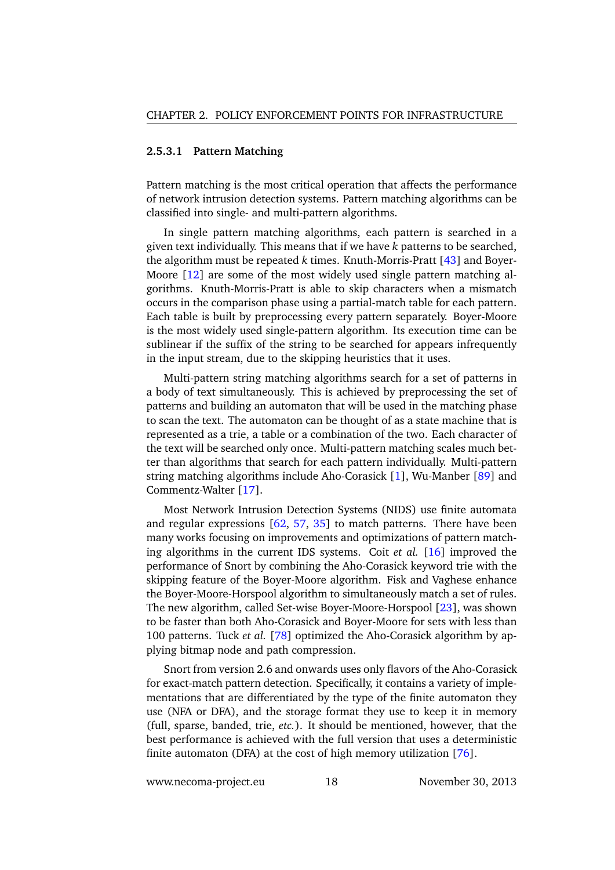#### **2.5.3.1 Pattern Matching**

Pattern matching is the most critical operation that affects the performance of network intrusion detection systems. Pattern matching algorithms can be classified into single- and multi-pattern algorithms.

In single pattern matching algorithms, each pattern is searched in a given text individually. This means that if we have *k* patterns to be searched, the algorithm must be repeated *k* times. Knuth-Morris-Pratt [\[43\]](#page-50-7) and Boyer-Moore [\[12\]](#page-48-3) are some of the most widely used single pattern matching algorithms. Knuth-Morris-Pratt is able to skip characters when a mismatch occurs in the comparison phase using a partial-match table for each pattern. Each table is built by preprocessing every pattern separately. Boyer-Moore is the most widely used single-pattern algorithm. Its execution time can be sublinear if the suffix of the string to be searched for appears infrequently in the input stream, due to the skipping heuristics that it uses.

Multi-pattern string matching algorithms search for a set of patterns in a body of text simultaneously. This is achieved by preprocessing the set of patterns and building an automaton that will be used in the matching phase to scan the text. The automaton can be thought of as a state machine that is represented as a trie, a table or a combination of the two. Each character of the text will be searched only once. Multi-pattern matching scales much better than algorithms that search for each pattern individually. Multi-pattern string matching algorithms include Aho-Corasick [\[1\]](#page-48-4), Wu-Manber [\[89\]](#page-53-1) and Commentz-Walter [\[17\]](#page-49-3).

Most Network Intrusion Detection Systems (NIDS) use finite automata and regular expressions [\[62,](#page-51-4) [57,](#page-51-5) [35\]](#page-50-8) to match patterns. There have been many works focusing on improvements and optimizations of pattern matching algorithms in the current IDS systems. Coit *et al.* [\[16\]](#page-49-4) improved the performance of Snort by combining the Aho-Corasick keyword trie with the skipping feature of the Boyer-Moore algorithm. Fisk and Vaghese enhance the Boyer-Moore-Horspool algorithm to simultaneously match a set of rules. The new algorithm, called Set-wise Boyer-Moore-Horspool [\[23\]](#page-49-5), was shown to be faster than both Aho-Corasick and Boyer-Moore for sets with less than 100 patterns. Tuck *et al.* [\[78\]](#page-52-3) optimized the Aho-Corasick algorithm by applying bitmap node and path compression.

Snort from version 2.6 and onwards uses only flavors of the Aho-Corasick for exact-match pattern detection. Specifically, it contains a variety of implementations that are differentiated by the type of the finite automaton they use (NFA or DFA), and the storage format they use to keep it in memory (full, sparse, banded, trie, *etc.*). It should be mentioned, however, that the best performance is achieved with the full version that uses a deterministic finite automaton (DFA) at the cost of high memory utilization [\[76\]](#page-52-4).

www.necoma-project.eu 18 November 30, 2013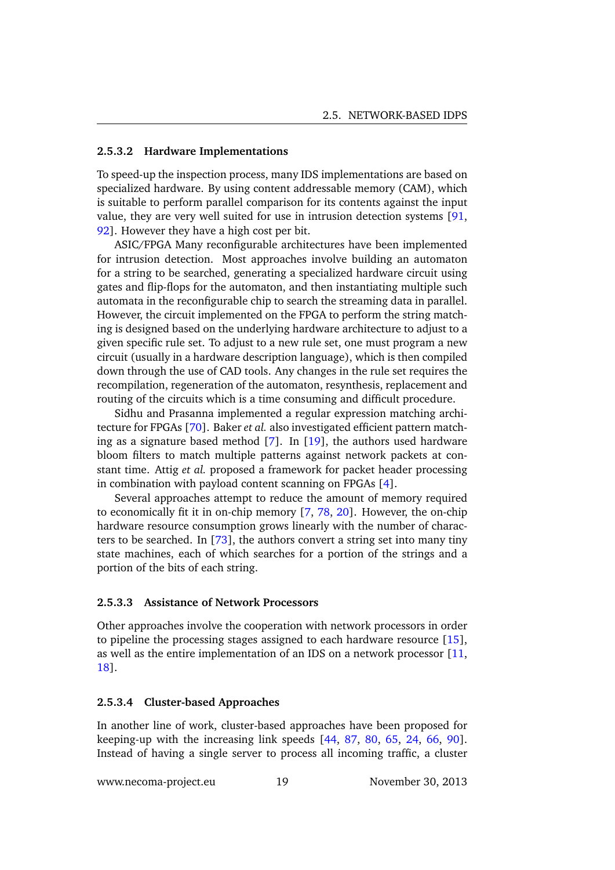#### **2.5.3.2 Hardware Implementations**

To speed-up the inspection process, many IDS implementations are based on specialized hardware. By using content addressable memory (CAM), which is suitable to perform parallel comparison for its contents against the input value, they are very well suited for use in intrusion detection systems [\[91,](#page-53-2) [92\]](#page-53-3). However they have a high cost per bit.

ASIC/FPGA Many reconfigurable architectures have been implemented for intrusion detection. Most approaches involve building an automaton for a string to be searched, generating a specialized hardware circuit using gates and flip-flops for the automaton, and then instantiating multiple such automata in the reconfigurable chip to search the streaming data in parallel. However, the circuit implemented on the FPGA to perform the string matching is designed based on the underlying hardware architecture to adjust to a given specific rule set. To adjust to a new rule set, one must program a new circuit (usually in a hardware description language), which is then compiled down through the use of CAD tools. Any changes in the rule set requires the recompilation, regeneration of the automaton, resynthesis, replacement and routing of the circuits which is a time consuming and difficult procedure.

Sidhu and Prasanna implemented a regular expression matching architecture for FPGAs [\[70\]](#page-52-5). Baker *et al.* also investigated efficient pattern matching as a signature based method [\[7\]](#page-48-5). In [\[19\]](#page-49-6), the authors used hardware bloom filters to match multiple patterns against network packets at constant time. Attig *et al.* proposed a framework for packet header processing in combination with payload content scanning on FPGAs [\[4\]](#page-48-6).

Several approaches attempt to reduce the amount of memory required to economically fit it in on-chip memory [\[7,](#page-48-5) [78,](#page-52-3) [20\]](#page-49-7). However, the on-chip hardware resource consumption grows linearly with the number of characters to be searched. In  $[73]$ , the authors convert a string set into many tiny state machines, each of which searches for a portion of the strings and a portion of the bits of each string.

#### **2.5.3.3 Assistance of Network Processors**

Other approaches involve the cooperation with network processors in order to pipeline the processing stages assigned to each hardware resource [\[15\]](#page-49-8), as well as the entire implementation of an IDS on a network processor [\[11,](#page-48-7) [18\]](#page-49-9).

#### **2.5.3.4 Cluster-based Approaches**

In another line of work, cluster-based approaches have been proposed for keeping-up with the increasing link speeds [\[44,](#page-50-9) [87,](#page-53-4) [80,](#page-52-7) [65,](#page-52-8) [24,](#page-49-10) [66,](#page-52-9) [90\]](#page-53-5). Instead of having a single server to process all incoming traffic, a cluster

www.necoma-project.eu 19 November 30, 2013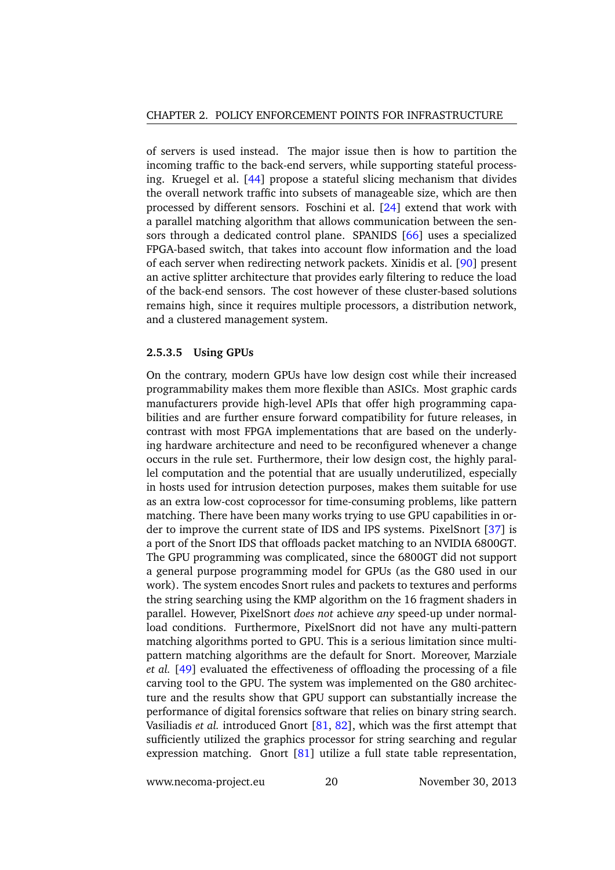of servers is used instead. The major issue then is how to partition the incoming traffic to the back-end servers, while supporting stateful processing. Kruegel et al. [\[44\]](#page-50-9) propose a stateful slicing mechanism that divides the overall network traffic into subsets of manageable size, which are then processed by different sensors. Foschini et al. [\[24\]](#page-49-10) extend that work with a parallel matching algorithm that allows communication between the sensors through a dedicated control plane. SPANIDS [\[66\]](#page-52-9) uses a specialized FPGA-based switch, that takes into account flow information and the load of each server when redirecting network packets. Xinidis et al. [\[90\]](#page-53-5) present an active splitter architecture that provides early filtering to reduce the load of the back-end sensors. The cost however of these cluster-based solutions remains high, since it requires multiple processors, a distribution network, and a clustered management system.

#### **2.5.3.5 Using GPUs**

On the contrary, modern GPUs have low design cost while their increased programmability makes them more flexible than ASICs. Most graphic cards manufacturers provide high-level APIs that offer high programming capabilities and are further ensure forward compatibility for future releases, in contrast with most FPGA implementations that are based on the underlying hardware architecture and need to be reconfigured whenever a change occurs in the rule set. Furthermore, their low design cost, the highly parallel computation and the potential that are usually underutilized, especially in hosts used for intrusion detection purposes, makes them suitable for use as an extra low-cost coprocessor for time-consuming problems, like pattern matching. There have been many works trying to use GPU capabilities in order to improve the current state of IDS and IPS systems. PixelSnort [\[37\]](#page-50-10) is a port of the Snort IDS that offloads packet matching to an NVIDIA 6800GT. The GPU programming was complicated, since the 6800GT did not support a general purpose programming model for GPUs (as the G80 used in our work). The system encodes Snort rules and packets to textures and performs the string searching using the KMP algorithm on the 16 fragment shaders in parallel. However, PixelSnort *does not* achieve *any* speed-up under normalload conditions. Furthermore, PixelSnort did not have any multi-pattern matching algorithms ported to GPU. This is a serious limitation since multipattern matching algorithms are the default for Snort. Moreover, Marziale *et al.* [\[49\]](#page-51-6) evaluated the effectiveness of offloading the processing of a file carving tool to the GPU. The system was implemented on the G80 architecture and the results show that GPU support can substantially increase the performance of digital forensics software that relies on binary string search. Vasiliadis *et al.* introduced Gnort [\[81,](#page-52-10) [82\]](#page-53-6), which was the first attempt that sufficiently utilized the graphics processor for string searching and regular expression matching. Gnort [\[81\]](#page-52-10) utilize a full state table representation,

www.necoma-project.eu 20 November 30, 2013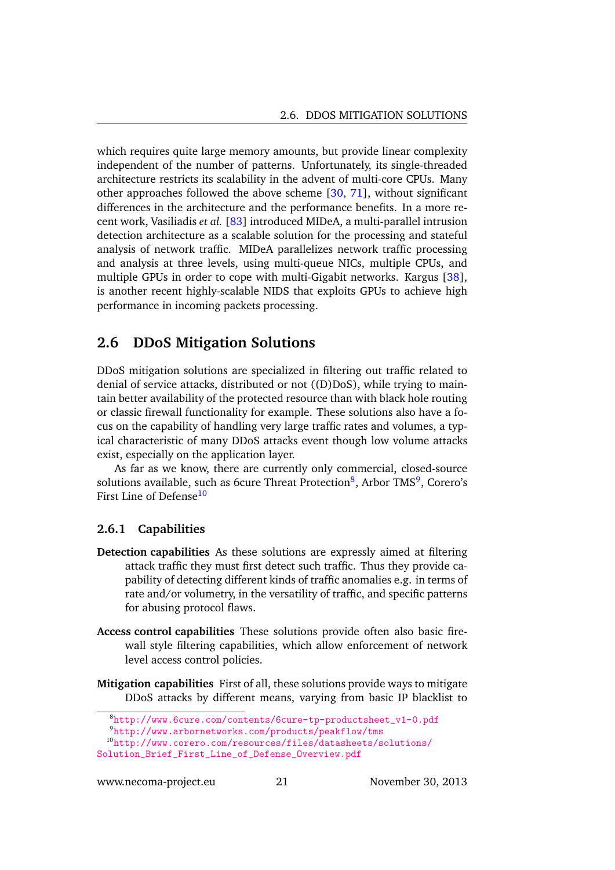which requires quite large memory amounts, but provide linear complexity independent of the number of patterns. Unfortunately, its single-threaded architecture restricts its scalability in the advent of multi-core CPUs. Many other approaches followed the above scheme [\[30,](#page-50-11) [71\]](#page-52-11), without significant differences in the architecture and the performance benefits. In a more recent work, Vasiliadis *et al.* [\[83\]](#page-53-7) introduced MIDeA, a multi-parallel intrusion detection architecture as a scalable solution for the processing and stateful analysis of network traffic. MIDeA parallelizes network traffic processing and analysis at three levels, using multi-queue NICs, multiple CPUs, and multiple GPUs in order to cope with multi-Gigabit networks. Kargus [\[38\]](#page-50-12), is another recent highly-scalable NIDS that exploits GPUs to achieve high performance in incoming packets processing.

# <span id="page-20-0"></span>**2.6 DDoS Mitigation Solutions**

DDoS mitigation solutions are specialized in filtering out traffic related to denial of service attacks, distributed or not ((D)DoS), while trying to maintain better availability of the protected resource than with black hole routing or classic firewall functionality for example. These solutions also have a focus on the capability of handling very large traffic rates and volumes, a typical characteristic of many DDoS attacks event though low volume attacks exist, especially on the application layer.

As far as we know, there are currently only commercial, closed-source solutions available, such as 6cure Threat Protection<sup>[8](#page-20-2)</sup>, Arbor TMS<sup>[9](#page-20-3)</sup>, Corero's First Line of Defense<sup>[10](#page-20-4)</sup>

#### <span id="page-20-1"></span>**2.6.1 Capabilities**

- **Detection capabilities** As these solutions are expressly aimed at filtering attack traffic they must first detect such traffic. Thus they provide capability of detecting different kinds of traffic anomalies e.g. in terms of rate and/or volumetry, in the versatility of traffic, and specific patterns for abusing protocol flaws.
- **Access control capabilities** These solutions provide often also basic firewall style filtering capabilities, which allow enforcement of network level access control policies.
- **Mitigation capabilities** First of all, these solutions provide ways to mitigate DDoS attacks by different means, varying from basic IP blacklist to

www.necoma-project.eu 21 November 30, 2013

<span id="page-20-3"></span><span id="page-20-2"></span><sup>8</sup>[http://www.6cure.com/contents/6cure-tp-productsheet\\_v1-0.pdf](http://www.6cure.com/contents/6cure-tp-productsheet_v1-0.pdf)

<span id="page-20-4"></span><sup>9</sup><http://www.arbornetworks.com/products/peakflow/tms>

<sup>10</sup>[http://www.corero.com/resources/files/datasheets/solutions/](http://www.corero.com/resources/files/datasheets/solutions/Solution_Brief_First_Line_of_Defense_Overview.pdf) Solution Brief First Line of Defense Overview.pdf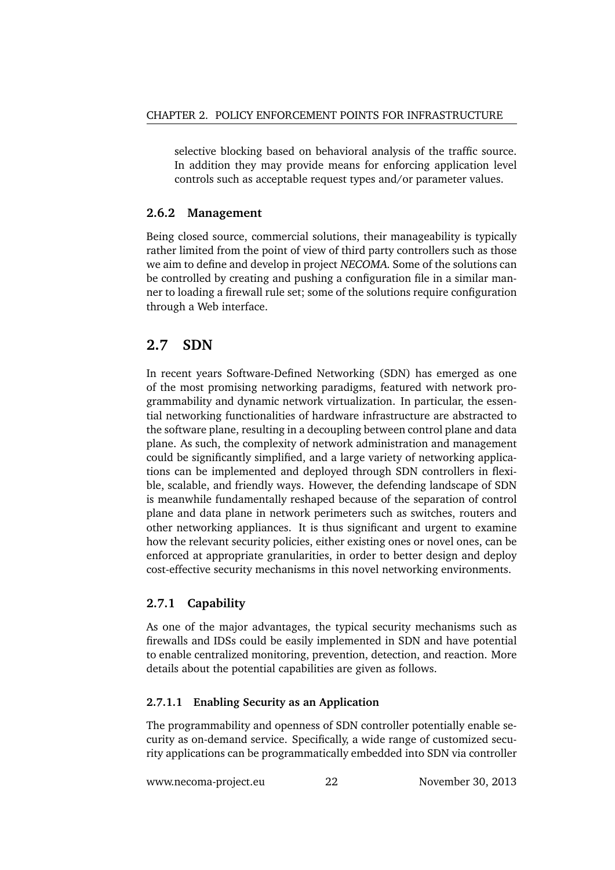selective blocking based on behavioral analysis of the traffic source. In addition they may provide means for enforcing application level controls such as acceptable request types and/or parameter values.

## <span id="page-21-0"></span>**2.6.2 Management**

Being closed source, commercial solutions, their manageability is typically rather limited from the point of view of third party controllers such as those we aim to define and develop in project NECOMA. Some of the solutions can be controlled by creating and pushing a configuration file in a similar manner to loading a firewall rule set; some of the solutions require configuration through a Web interface.

# <span id="page-21-1"></span>**2.7 SDN**

In recent years Software-Defined Networking (SDN) has emerged as one of the most promising networking paradigms, featured with network programmability and dynamic network virtualization. In particular, the essential networking functionalities of hardware infrastructure are abstracted to the software plane, resulting in a decoupling between control plane and data plane. As such, the complexity of network administration and management could be significantly simplified, and a large variety of networking applications can be implemented and deployed through SDN controllers in flexible, scalable, and friendly ways. However, the defending landscape of SDN is meanwhile fundamentally reshaped because of the separation of control plane and data plane in network perimeters such as switches, routers and other networking appliances. It is thus significant and urgent to examine how the relevant security policies, either existing ones or novel ones, can be enforced at appropriate granularities, in order to better design and deploy cost-effective security mechanisms in this novel networking environments.

# <span id="page-21-2"></span>**2.7.1 Capability**

As one of the major advantages, the typical security mechanisms such as firewalls and IDSs could be easily implemented in SDN and have potential to enable centralized monitoring, prevention, detection, and reaction. More details about the potential capabilities are given as follows.

#### **2.7.1.1 Enabling Security as an Application**

The programmability and openness of SDN controller potentially enable security as on-demand service. Specifically, a wide range of customized security applications can be programmatically embedded into SDN via controller

www.necoma-project.eu 22 November 30, 2013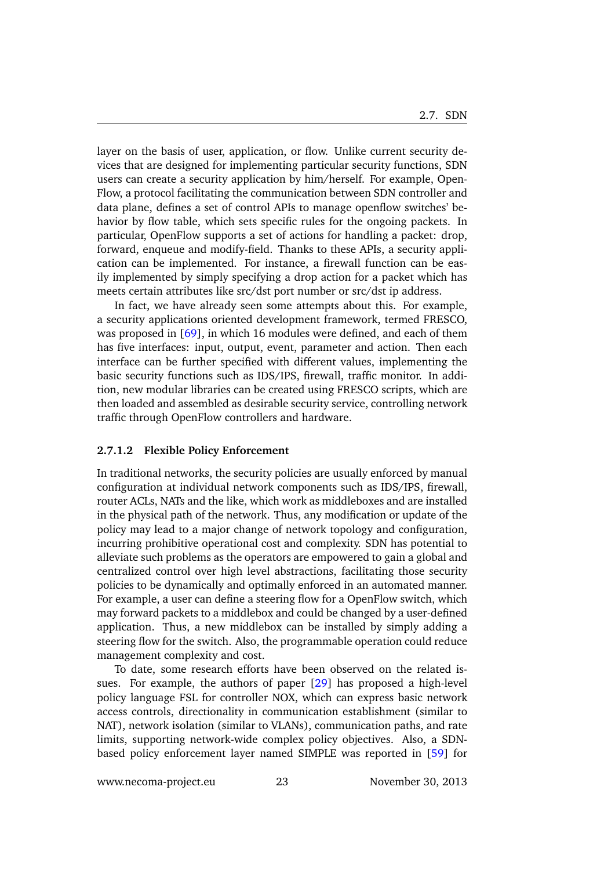layer on the basis of user, application, or flow. Unlike current security devices that are designed for implementing particular security functions, SDN users can create a security application by him/herself. For example, Open-Flow, a protocol facilitating the communication between SDN controller and data plane, defines a set of control APIs to manage openflow switches' behavior by flow table, which sets specific rules for the ongoing packets. In particular, OpenFlow supports a set of actions for handling a packet: drop, forward, enqueue and modify-field. Thanks to these APIs, a security application can be implemented. For instance, a firewall function can be easily implemented by simply specifying a drop action for a packet which has meets certain attributes like src/dst port number or src/dst ip address.

In fact, we have already seen some attempts about this. For example, a security applications oriented development framework, termed FRESCO, was proposed in [\[69\]](#page-52-12), in which 16 modules were defined, and each of them has five interfaces: input, output, event, parameter and action. Then each interface can be further specified with different values, implementing the basic security functions such as IDS/IPS, firewall, traffic monitor. In addition, new modular libraries can be created using FRESCO scripts, which are then loaded and assembled as desirable security service, controlling network traffic through OpenFlow controllers and hardware.

#### **2.7.1.2 Flexible Policy Enforcement**

In traditional networks, the security policies are usually enforced by manual configuration at individual network components such as IDS/IPS, firewall, router ACLs, NATs and the like, which work as middleboxes and are installed in the physical path of the network. Thus, any modification or update of the policy may lead to a major change of network topology and configuration, incurring prohibitive operational cost and complexity. SDN has potential to alleviate such problems as the operators are empowered to gain a global and centralized control over high level abstractions, facilitating those security policies to be dynamically and optimally enforced in an automated manner. For example, a user can define a steering flow for a OpenFlow switch, which may forward packets to a middlebox and could be changed by a user-defined application. Thus, a new middlebox can be installed by simply adding a steering flow for the switch. Also, the programmable operation could reduce management complexity and cost.

To date, some research efforts have been observed on the related issues. For example, the authors of paper [\[29\]](#page-49-11) has proposed a high-level policy language FSL for controller NOX, which can express basic network access controls, directionality in communication establishment (similar to NAT), network isolation (similar to VLANs), communication paths, and rate limits, supporting network-wide complex policy objectives. Also, a SDNbased policy enforcement layer named SIMPLE was reported in [\[59\]](#page-51-7) for

www.necoma-project.eu 23 November 30, 2013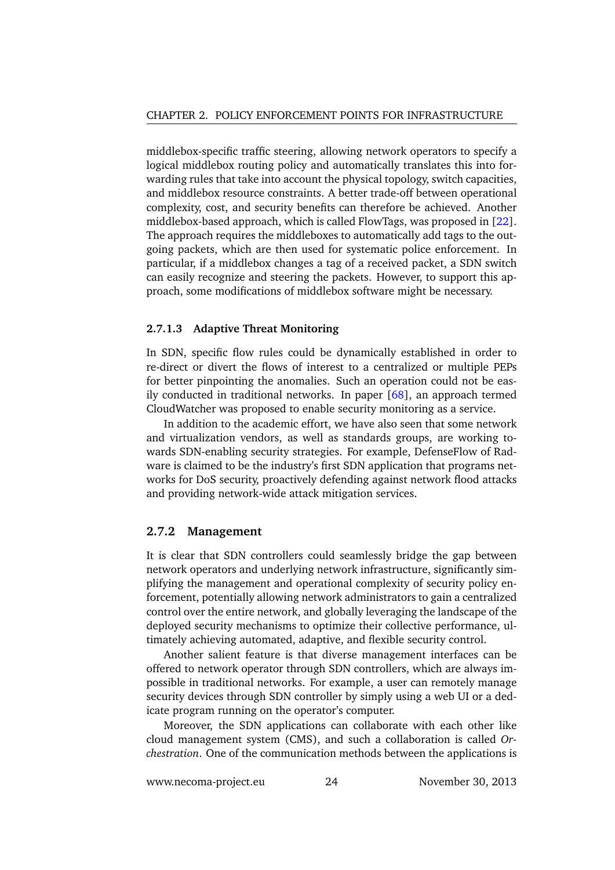middlebox-specific traffic steering, allowing network operators to specify a logical middlebox routing policy and automatically translates this into forwarding rules that take into account the physical topology, switch capacities, and middlebox resource constraints. A better trade-off between operational complexity, cost, and security benefits can therefore be achieved. Another middlebox-based approach, which is called FlowTags, was proposed in [\[22\]](#page-49-12). The approach requires the middleboxes to automatically add tags to the outgoing packets, which are then used for systematic police enforcement. In particular, if a middlebox changes a tag of a received packet, a SDN switch can easily recognize and steering the packets. However, to support this approach, some modifications of middlebox software might be necessary.

#### **2.7.1.3 Adaptive Threat Monitoring**

In SDN, specific flow rules could be dynamically established in order to re-direct or divert the flows of interest to a centralized or multiple PEPs for better pinpointing the anomalies. Such an operation could not be easily conducted in traditional networks. In paper [\[68\]](#page-52-13), an approach termed CloudWatcher was proposed to enable security monitoring as a service.

In addition to the academic effort, we have also seen that some network and virtualization vendors, as well as standards groups, are working towards SDN-enabling security strategies. For example, DefenseFlow of Radware is claimed to be the industry's first SDN application that programs networks for DoS security, proactively defending against network flood attacks and providing network-wide attack mitigation services.

## <span id="page-23-0"></span>**2.7.2 Management**

It is clear that SDN controllers could seamlessly bridge the gap between network operators and underlying network infrastructure, significantly simplifying the management and operational complexity of security policy enforcement, potentially allowing network administrators to gain a centralized control over the entire network, and globally leveraging the landscape of the deployed security mechanisms to optimize their collective performance, ultimately achieving automated, adaptive, and flexible security control.

Another salient feature is that diverse management interfaces can be offered to network operator through SDN controllers, which are always impossible in traditional networks. For example, a user can remotely manage security devices through SDN controller by simply using a web UI or a dedicate program running on the operator's computer.

Moreover, the SDN applications can collaborate with each other like cloud management system (CMS), and such a collaboration is called *Orchestration*. One of the communication methods between the applications is

www.necoma-project.eu 24 November 30, 2013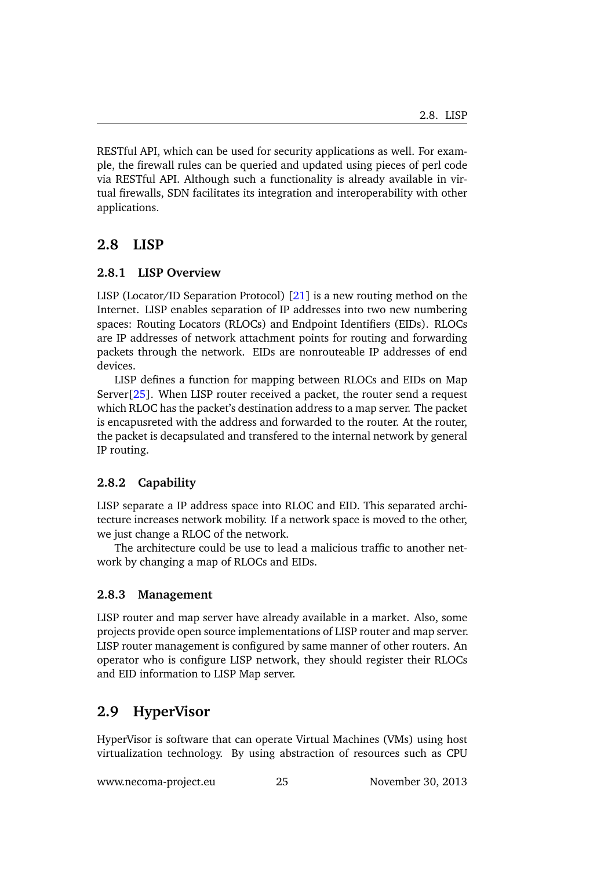RESTful API, which can be used for security applications as well. For example, the firewall rules can be queried and updated using pieces of perl code via RESTful API. Although such a functionality is already available in virtual firewalls, SDN facilitates its integration and interoperability with other applications.

# <span id="page-24-0"></span>**2.8 LISP**

# <span id="page-24-1"></span>**2.8.1 LISP Overview**

LISP (Locator/ID Separation Protocol) [\[21\]](#page-49-13) is a new routing method on the Internet. LISP enables separation of IP addresses into two new numbering spaces: Routing Locators (RLOCs) and Endpoint Identifiers (EIDs). RLOCs are IP addresses of network attachment points for routing and forwarding packets through the network. EIDs are nonrouteable IP addresses of end devices.

LISP defines a function for mapping between RLOCs and EIDs on Map Server $[25]$ . When LISP router received a packet, the router send a request which RLOC has the packet's destination address to a map server. The packet is encapusreted with the address and forwarded to the router. At the router, the packet is decapsulated and transfered to the internal network by general IP routing.

# <span id="page-24-2"></span>**2.8.2 Capability**

LISP separate a IP address space into RLOC and EID. This separated architecture increases network mobility. If a network space is moved to the other, we just change a RLOC of the network.

The architecture could be use to lead a malicious traffic to another network by changing a map of RLOCs and EIDs.

# <span id="page-24-3"></span>**2.8.3 Management**

LISP router and map server have already available in a market. Also, some projects provide open source implementations of LISP router and map server. LISP router management is configured by same manner of other routers. An operator who is configure LISP network, they should register their RLOCs and EID information to LISP Map server.

# <span id="page-24-4"></span>**2.9 HyperVisor**

HyperVisor is software that can operate Virtual Machines (VMs) using host virtualization technology. By using abstraction of resources such as CPU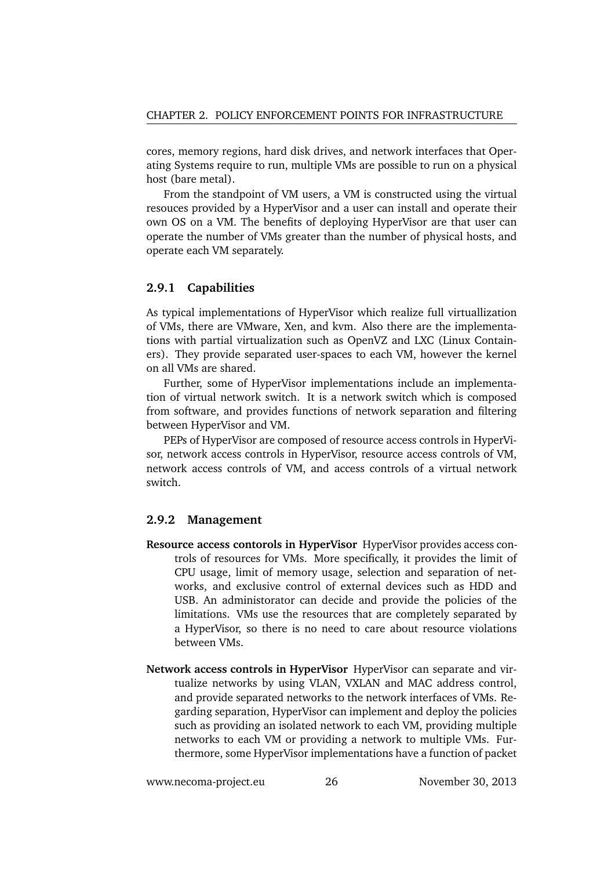cores, memory regions, hard disk drives, and network interfaces that Operating Systems require to run, multiple VMs are possible to run on a physical host (bare metal).

From the standpoint of VM users, a VM is constructed using the virtual resouces provided by a HyperVisor and a user can install and operate their own OS on a VM. The benefits of deploying HyperVisor are that user can operate the number of VMs greater than the number of physical hosts, and operate each VM separately.

#### <span id="page-25-0"></span>**2.9.1 Capabilities**

As typical implementations of HyperVisor which realize full virtuallization of VMs, there are VMware, Xen, and kvm. Also there are the implementations with partial virtualization such as OpenVZ and LXC (Linux Containers). They provide separated user-spaces to each VM, however the kernel on all VMs are shared.

Further, some of HyperVisor implementations include an implementation of virtual network switch. It is a network switch which is composed from software, and provides functions of network separation and filtering between HyperVisor and VM.

PEPs of HyperVisor are composed of resource access controls in HyperVisor, network access controls in HyperVisor, resource access controls of VM, network access controls of VM, and access controls of a virtual network switch.

#### <span id="page-25-1"></span>**2.9.2 Management**

- **Resource access contorols in HyperVisor** HyperVisor provides access controls of resources for VMs. More specifically, it provides the limit of CPU usage, limit of memory usage, selection and separation of networks, and exclusive control of external devices such as HDD and USB. An administorator can decide and provide the policies of the limitations. VMs use the resources that are completely separated by a HyperVisor, so there is no need to care about resource violations between VMs.
- **Network access controls in HyperVisor** HyperVisor can separate and virtualize networks by using VLAN, VXLAN and MAC address control, and provide separated networks to the network interfaces of VMs. Regarding separation, HyperVisor can implement and deploy the policies such as providing an isolated network to each VM, providing multiple networks to each VM or providing a network to multiple VMs. Furthermore, some HyperVisor implementations have a function of packet

www.necoma-project.eu 26 November 30, 2013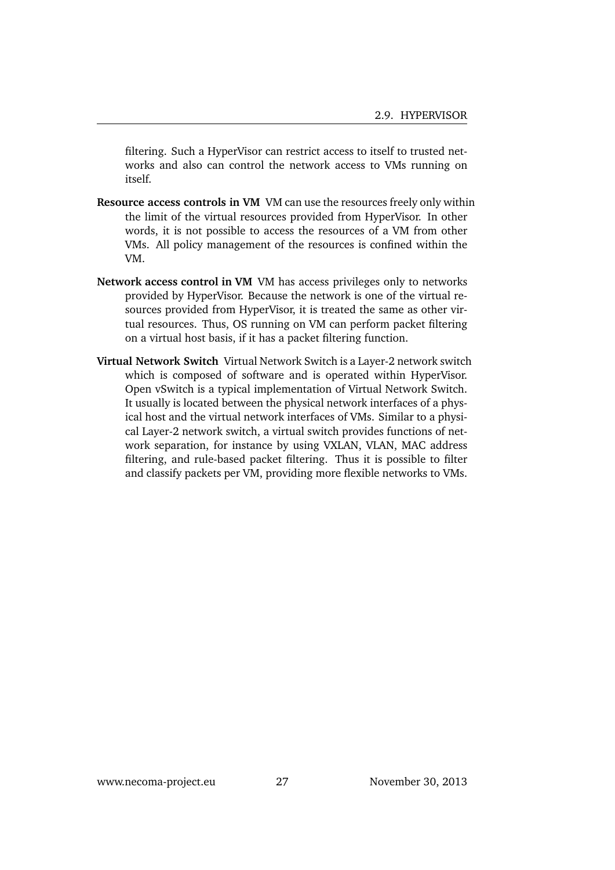filtering. Such a HyperVisor can restrict access to itself to trusted networks and also can control the network access to VMs running on itself.

- **Resource access controls in VM** VM can use the resources freely only within the limit of the virtual resources provided from HyperVisor. In other words, it is not possible to access the resources of a VM from other VMs. All policy management of the resources is confined within the VM.
- **Network access control in VM** VM has access privileges only to networks provided by HyperVisor. Because the network is one of the virtual resources provided from HyperVisor, it is treated the same as other virtual resources. Thus, OS running on VM can perform packet filtering on a virtual host basis, if it has a packet filtering function.
- **Virtual Network Switch** Virtual Network Switch is a Layer-2 network switch which is composed of software and is operated within HyperVisor. Open vSwitch is a typical implementation of Virtual Network Switch. It usually is located between the physical network interfaces of a physical host and the virtual network interfaces of VMs. Similar to a physical Layer-2 network switch, a virtual switch provides functions of network separation, for instance by using VXLAN, VLAN, MAC address filtering, and rule-based packet filtering. Thus it is possible to filter and classify packets per VM, providing more flexible networks to VMs.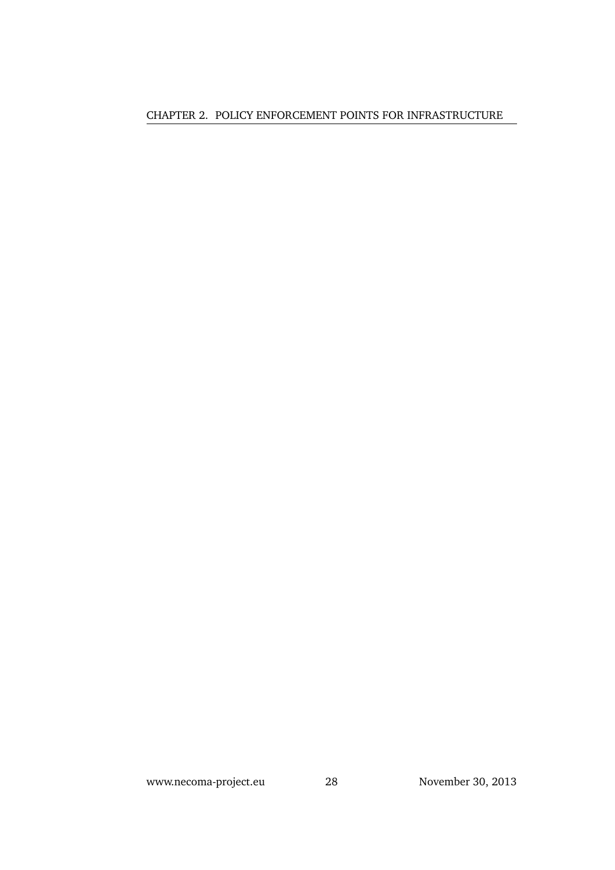# CHAPTER 2. POLICY ENFORCEMENT POINTS FOR INFRASTRUCTURE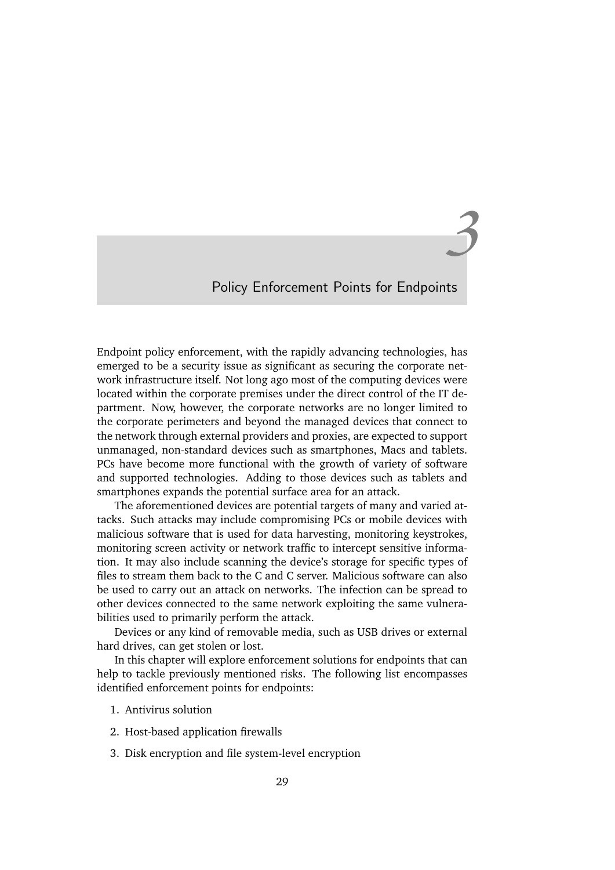# <span id="page-28-0"></span>Policy Enforcement Points for Endpoints

*3*

Endpoint policy enforcement, with the rapidly advancing technologies, has emerged to be a security issue as significant as securing the corporate network infrastructure itself. Not long ago most of the computing devices were located within the corporate premises under the direct control of the IT department. Now, however, the corporate networks are no longer limited to the corporate perimeters and beyond the managed devices that connect to the network through external providers and proxies, are expected to support unmanaged, non-standard devices such as smartphones, Macs and tablets. PCs have become more functional with the growth of variety of software and supported technologies. Adding to those devices such as tablets and smartphones expands the potential surface area for an attack.

The aforementioned devices are potential targets of many and varied attacks. Such attacks may include compromising PCs or mobile devices with malicious software that is used for data harvesting, monitoring keystrokes, monitoring screen activity or network traffic to intercept sensitive information. It may also include scanning the device's storage for specific types of files to stream them back to the C and C server. Malicious software can also be used to carry out an attack on networks. The infection can be spread to other devices connected to the same network exploiting the same vulnerabilities used to primarily perform the attack.

Devices or any kind of removable media, such as USB drives or external hard drives, can get stolen or lost.

In this chapter will explore enforcement solutions for endpoints that can help to tackle previously mentioned risks. The following list encompasses identified enforcement points for endpoints:

- 1. Antivirus solution
- 2. Host-based application firewalls
- 3. Disk encryption and file system-level encryption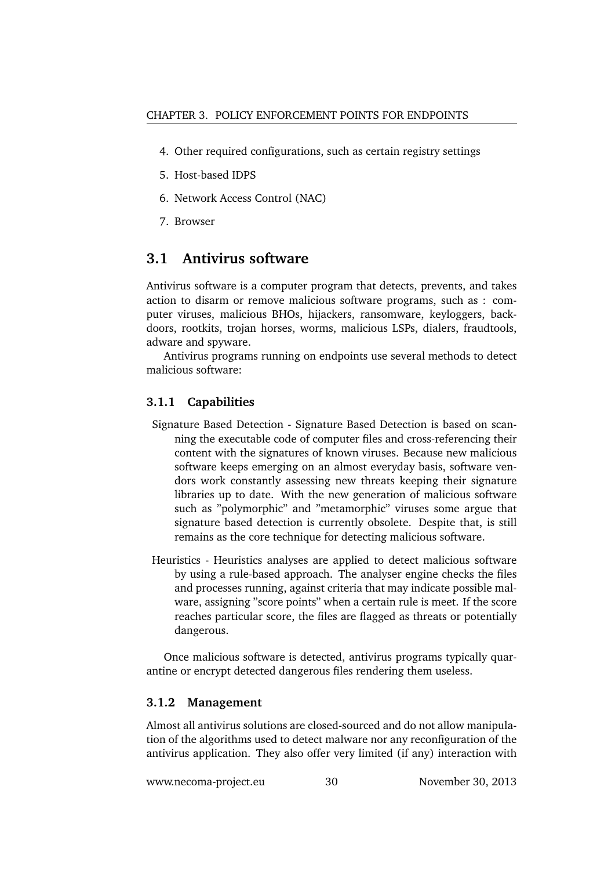- 4. Other required configurations, such as certain registry settings
- 5. Host-based IDPS
- 6. Network Access Control (NAC)
- 7. Browser

# <span id="page-29-0"></span>**3.1 Antivirus software**

Antivirus software is a computer program that detects, prevents, and takes action to disarm or remove malicious software programs, such as : computer viruses, malicious BHOs, hijackers, ransomware, keyloggers, backdoors, rootkits, trojan horses, worms, malicious LSPs, dialers, fraudtools, adware and spyware.

Antivirus programs running on endpoints use several methods to detect malicious software:

# <span id="page-29-1"></span>**3.1.1 Capabilities**

- Signature Based Detection Signature Based Detection is based on scanning the executable code of computer files and cross-referencing their content with the signatures of known viruses. Because new malicious software keeps emerging on an almost everyday basis, software vendors work constantly assessing new threats keeping their signature libraries up to date. With the new generation of malicious software such as "polymorphic" and "metamorphic" viruses some argue that signature based detection is currently obsolete. Despite that, is still remains as the core technique for detecting malicious software.
- Heuristics Heuristics analyses are applied to detect malicious software by using a rule-based approach. The analyser engine checks the files and processes running, against criteria that may indicate possible malware, assigning "score points" when a certain rule is meet. If the score reaches particular score, the files are flagged as threats or potentially dangerous.

Once malicious software is detected, antivirus programs typically quarantine or encrypt detected dangerous files rendering them useless.

#### <span id="page-29-2"></span>**3.1.2 Management**

Almost all antivirus solutions are closed-sourced and do not allow manipulation of the algorithms used to detect malware nor any reconfiguration of the antivirus application. They also offer very limited (if any) interaction with

www.necoma-project.eu 30 November 30, 2013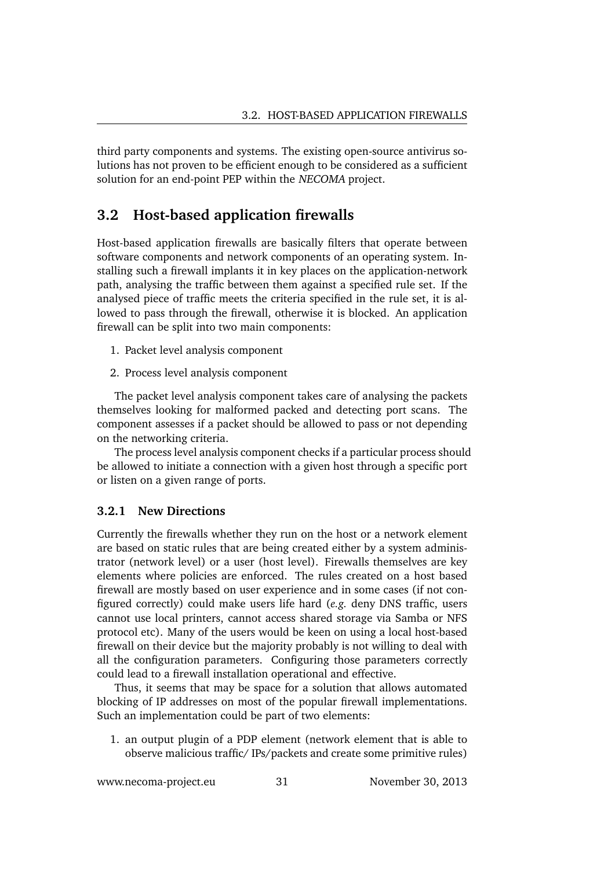third party components and systems. The existing open-source antivirus solutions has not proven to be efficient enough to be considered as a sufficient solution for an end-point PEP within the NECOMA project.

# <span id="page-30-0"></span>**3.2 Host-based application firewalls**

Host-based application firewalls are basically filters that operate between software components and network components of an operating system. Installing such a firewall implants it in key places on the application-network path, analysing the traffic between them against a specified rule set. If the analysed piece of traffic meets the criteria specified in the rule set, it is allowed to pass through the firewall, otherwise it is blocked. An application firewall can be split into two main components:

- 1. Packet level analysis component
- 2. Process level analysis component

The packet level analysis component takes care of analysing the packets themselves looking for malformed packed and detecting port scans. The component assesses if a packet should be allowed to pass or not depending on the networking criteria.

The process level analysis component checks if a particular process should be allowed to initiate a connection with a given host through a specific port or listen on a given range of ports.

#### <span id="page-30-1"></span>**3.2.1 New Directions**

Currently the firewalls whether they run on the host or a network element are based on static rules that are being created either by a system administrator (network level) or a user (host level). Firewalls themselves are key elements where policies are enforced. The rules created on a host based firewall are mostly based on user experience and in some cases (if not configured correctly) could make users life hard (*e.g.* deny DNS traffic, users cannot use local printers, cannot access shared storage via Samba or NFS protocol etc). Many of the users would be keen on using a local host-based firewall on their device but the majority probably is not willing to deal with all the configuration parameters. Configuring those parameters correctly could lead to a firewall installation operational and effective.

Thus, it seems that may be space for a solution that allows automated blocking of IP addresses on most of the popular firewall implementations. Such an implementation could be part of two elements:

1. an output plugin of a PDP element (network element that is able to observe malicious traffic/ IPs/packets and create some primitive rules)

www.necoma-project.eu 31 November 30, 2013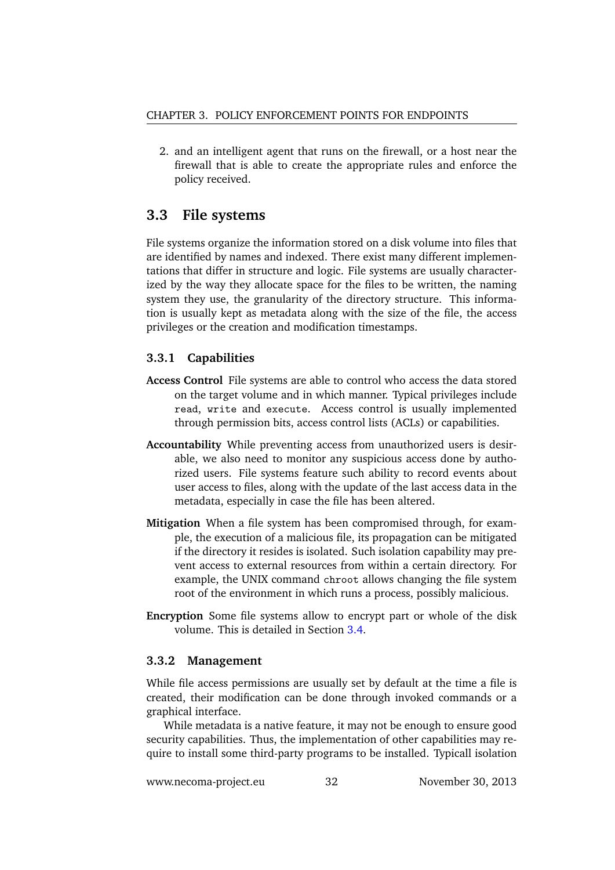2. and an intelligent agent that runs on the firewall, or a host near the firewall that is able to create the appropriate rules and enforce the policy received.

# <span id="page-31-0"></span>**3.3 File systems**

File systems organize the information stored on a disk volume into files that are identified by names and indexed. There exist many different implementations that differ in structure and logic. File systems are usually characterized by the way they allocate space for the files to be written, the naming system they use, the granularity of the directory structure. This information is usually kept as metadata along with the size of the file, the access privileges or the creation and modification timestamps.

# <span id="page-31-1"></span>**3.3.1 Capabilities**

- **Access Control** File systems are able to control who access the data stored on the target volume and in which manner. Typical privileges include read, write and execute. Access control is usually implemented through permission bits, access control lists (ACLs) or capabilities.
- **Accountability** While preventing access from unauthorized users is desirable, we also need to monitor any suspicious access done by authorized users. File systems feature such ability to record events about user access to files, along with the update of the last access data in the metadata, especially in case the file has been altered.
- **Mitigation** When a file system has been compromised through, for example, the execution of a malicious file, its propagation can be mitigated if the directory it resides is isolated. Such isolation capability may prevent access to external resources from within a certain directory. For example, the UNIX command chroot allows changing the file system root of the environment in which runs a process, possibly malicious.
- **Encryption** Some file systems allow to encrypt part or whole of the disk volume. This is detailed in Section [3.4.](#page-32-0)

# <span id="page-31-2"></span>**3.3.2 Management**

While file access permissions are usually set by default at the time a file is created, their modification can be done through invoked commands or a graphical interface.

While metadata is a native feature, it may not be enough to ensure good security capabilities. Thus, the implementation of other capabilities may require to install some third-party programs to be installed. Typicall isolation

www.necoma-project.eu 32 November 30, 2013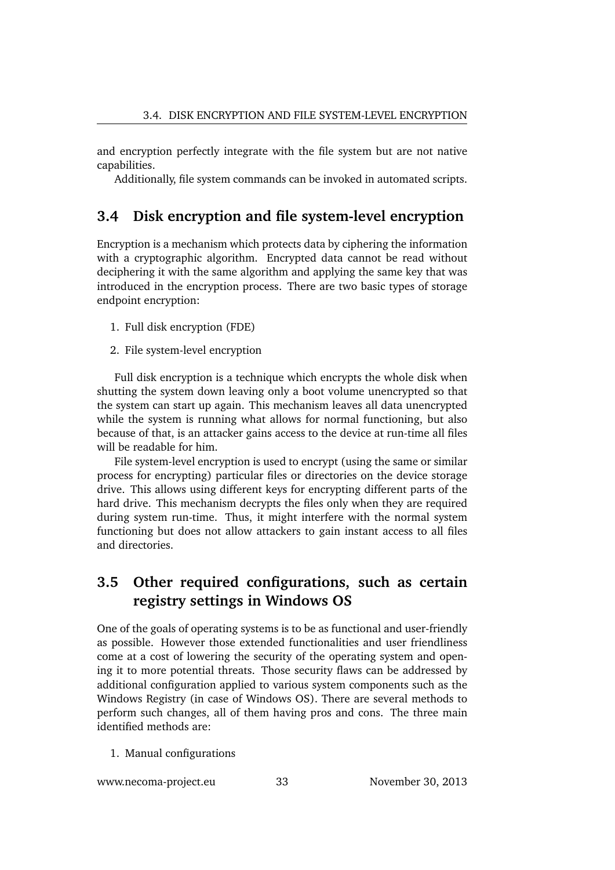and encryption perfectly integrate with the file system but are not native capabilities.

Additionally, file system commands can be invoked in automated scripts.

# <span id="page-32-0"></span>**3.4 Disk encryption and file system-level encryption**

Encryption is a mechanism which protects data by ciphering the information with a cryptographic algorithm. Encrypted data cannot be read without deciphering it with the same algorithm and applying the same key that was introduced in the encryption process. There are two basic types of storage endpoint encryption:

- 1. Full disk encryption (FDE)
- 2. File system-level encryption

Full disk encryption is a technique which encrypts the whole disk when shutting the system down leaving only a boot volume unencrypted so that the system can start up again. This mechanism leaves all data unencrypted while the system is running what allows for normal functioning, but also because of that, is an attacker gains access to the device at run-time all files will be readable for him.

File system-level encryption is used to encrypt (using the same or similar process for encrypting) particular files or directories on the device storage drive. This allows using different keys for encrypting different parts of the hard drive. This mechanism decrypts the files only when they are required during system run-time. Thus, it might interfere with the normal system functioning but does not allow attackers to gain instant access to all files and directories.

# <span id="page-32-1"></span>**3.5 Other required configurations, such as certain registry settings in Windows OS**

One of the goals of operating systems is to be as functional and user-friendly as possible. However those extended functionalities and user friendliness come at a cost of lowering the security of the operating system and opening it to more potential threats. Those security flaws can be addressed by additional configuration applied to various system components such as the Windows Registry (in case of Windows OS). There are several methods to perform such changes, all of them having pros and cons. The three main identified methods are:

1. Manual configurations

www.necoma-project.eu 33 November 30, 2013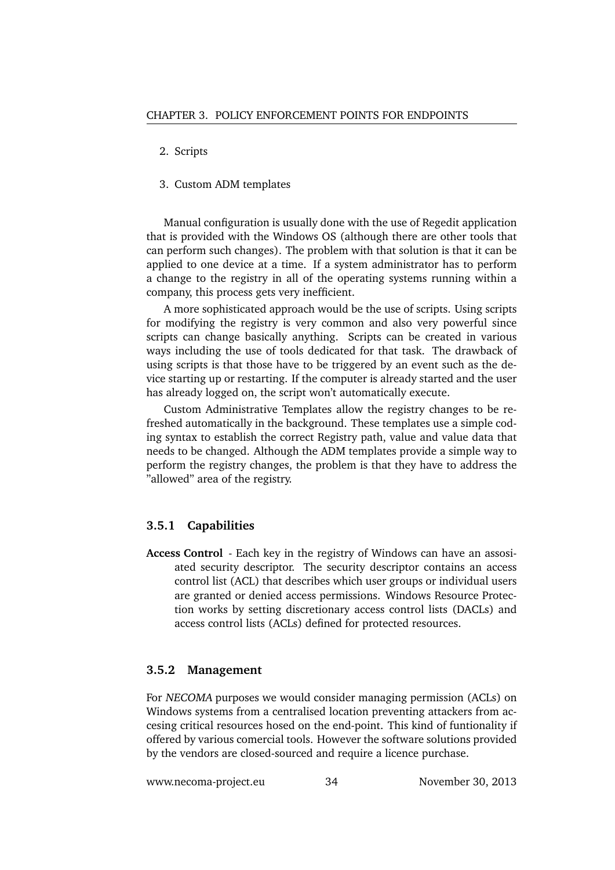- 2. Scripts
- 3. Custom ADM templates

Manual configuration is usually done with the use of Regedit application that is provided with the Windows OS (although there are other tools that can perform such changes). The problem with that solution is that it can be applied to one device at a time. If a system administrator has to perform a change to the registry in all of the operating systems running within a company, this process gets very inefficient.

A more sophisticated approach would be the use of scripts. Using scripts for modifying the registry is very common and also very powerful since scripts can change basically anything. Scripts can be created in various ways including the use of tools dedicated for that task. The drawback of using scripts is that those have to be triggered by an event such as the device starting up or restarting. If the computer is already started and the user has already logged on, the script won't automatically execute.

Custom Administrative Templates allow the registry changes to be refreshed automatically in the background. These templates use a simple coding syntax to establish the correct Registry path, value and value data that needs to be changed. Although the ADM templates provide a simple way to perform the registry changes, the problem is that they have to address the "allowed" area of the registry.

## <span id="page-33-0"></span>**3.5.1 Capabilities**

**Access Control** - Each key in the registry of Windows can have an assosiated security descriptor. The security descriptor contains an access control list (ACL) that describes which user groups or individual users are granted or denied access permissions. Windows Resource Protection works by setting discretionary access control lists (DACLs) and access control lists (ACLs) defined for protected resources.

#### <span id="page-33-1"></span>**3.5.2 Management**

For NECOMA purposes we would consider managing permission (ACLs) on Windows systems from a centralised location preventing attackers from accesing critical resources hosed on the end-point. This kind of funtionality if offered by various comercial tools. However the software solutions provided by the vendors are closed-sourced and require a licence purchase.

www.necoma-project.eu 34 November 30, 2013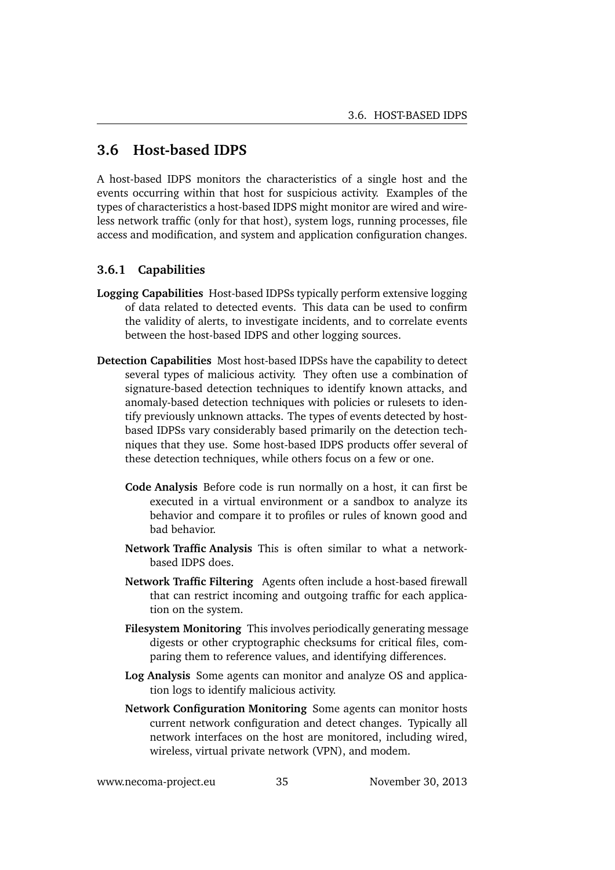# <span id="page-34-0"></span>**3.6 Host-based IDPS**

A host-based IDPS monitors the characteristics of a single host and the events occurring within that host for suspicious activity. Examples of the types of characteristics a host-based IDPS might monitor are wired and wireless network traffic (only for that host), system logs, running processes, file access and modification, and system and application configuration changes.

#### <span id="page-34-1"></span>**3.6.1 Capabilities**

- **Logging Capabilities** Host-based IDPSs typically perform extensive logging of data related to detected events. This data can be used to confirm the validity of alerts, to investigate incidents, and to correlate events between the host-based IDPS and other logging sources.
- **Detection Capabilities** Most host-based IDPSs have the capability to detect several types of malicious activity. They often use a combination of signature-based detection techniques to identify known attacks, and anomaly-based detection techniques with policies or rulesets to identify previously unknown attacks. The types of events detected by hostbased IDPSs vary considerably based primarily on the detection techniques that they use. Some host-based IDPS products offer several of these detection techniques, while others focus on a few or one.
	- **Code Analysis** Before code is run normally on a host, it can first be executed in a virtual environment or a sandbox to analyze its behavior and compare it to profiles or rules of known good and bad behavior.
	- **Network Traffic Analysis** This is often similar to what a networkbased IDPS does.
	- **Network Traffic Filtering** Agents often include a host-based firewall that can restrict incoming and outgoing traffic for each application on the system.
	- **Filesystem Monitoring** This involves periodically generating message digests or other cryptographic checksums for critical files, comparing them to reference values, and identifying differences.
	- **Log Analysis** Some agents can monitor and analyze OS and application logs to identify malicious activity.
	- **Network Configuration Monitoring** Some agents can monitor hosts current network configuration and detect changes. Typically all network interfaces on the host are monitored, including wired, wireless, virtual private network (VPN), and modem.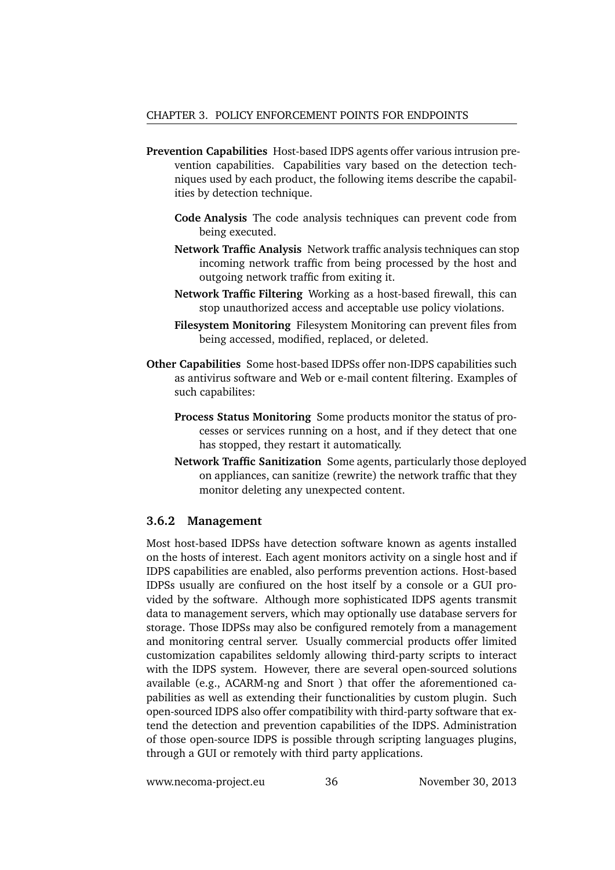- **Prevention Capabilities** Host-based IDPS agents offer various intrusion prevention capabilities. Capabilities vary based on the detection techniques used by each product, the following items describe the capabilities by detection technique.
	- **Code Analysis** The code analysis techniques can prevent code from being executed.
	- **Network Traffic Analysis** Network traffic analysis techniques can stop incoming network traffic from being processed by the host and outgoing network traffic from exiting it.
	- **Network Traffic Filtering** Working as a host-based firewall, this can stop unauthorized access and acceptable use policy violations.
	- **Filesystem Monitoring** Filesystem Monitoring can prevent files from being accessed, modified, replaced, or deleted.
- **Other Capabilities** Some host-based IDPSs offer non-IDPS capabilities such as antivirus software and Web or e-mail content filtering. Examples of such capabilites:
	- **Process Status Monitoring** Some products monitor the status of processes or services running on a host, and if they detect that one has stopped, they restart it automatically.
	- **Network Traffic Sanitization** Some agents, particularly those deployed on appliances, can sanitize (rewrite) the network traffic that they monitor deleting any unexpected content.

# <span id="page-35-0"></span>**3.6.2 Management**

Most host-based IDPSs have detection software known as agents installed on the hosts of interest. Each agent monitors activity on a single host and if IDPS capabilities are enabled, also performs prevention actions. Host-based IDPSs usually are confiured on the host itself by a console or a GUI provided by the software. Although more sophisticated IDPS agents transmit data to management servers, which may optionally use database servers for storage. Those IDPSs may also be configured remotely from a management and monitoring central server. Usually commercial products offer limited customization capabilites seldomly allowing third-party scripts to interact with the IDPS system. However, there are several open-sourced solutions available (e.g., ACARM-ng and Snort ) that offer the aforementioned capabilities as well as extending their functionalities by custom plugin. Such open-sourced IDPS also offer compatibility with third-party software that extend the detection and prevention capabilities of the IDPS. Administration of those open-source IDPS is possible through scripting languages plugins, through a GUI or remotely with third party applications.

www.necoma-project.eu 36 November 30, 2013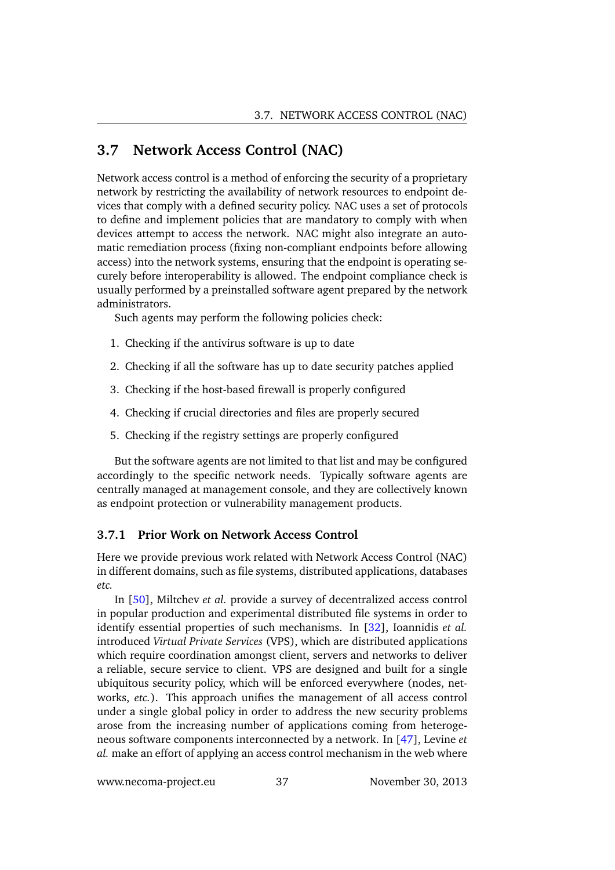# <span id="page-36-0"></span>**3.7 Network Access Control (NAC)**

Network access control is a method of enforcing the security of a proprietary network by restricting the availability of network resources to endpoint devices that comply with a defined security policy. NAC uses a set of protocols to define and implement policies that are mandatory to comply with when devices attempt to access the network. NAC might also integrate an automatic remediation process (fixing non-compliant endpoints before allowing access) into the network systems, ensuring that the endpoint is operating securely before interoperability is allowed. The endpoint compliance check is usually performed by a preinstalled software agent prepared by the network administrators.

Such agents may perform the following policies check:

- 1. Checking if the antivirus software is up to date
- 2. Checking if all the software has up to date security patches applied
- 3. Checking if the host-based firewall is properly configured
- 4. Checking if crucial directories and files are properly secured
- 5. Checking if the registry settings are properly configured

But the software agents are not limited to that list and may be configured accordingly to the specific network needs. Typically software agents are centrally managed at management console, and they are collectively known as endpoint protection or vulnerability management products.

#### <span id="page-36-1"></span>**3.7.1 Prior Work on Network Access Control**

Here we provide previous work related with Network Access Control (NAC) in different domains, such as file systems, distributed applications, databases *etc.*

In [\[50\]](#page-51-8), Miltchev *et al.* provide a survey of decentralized access control in popular production and experimental distributed file systems in order to identify essential properties of such mechanisms. In [\[32\]](#page-50-13), Ioannidis *et al.* introduced *Virtual Private Services* (VPS), which are distributed applications which require coordination amongst client, servers and networks to deliver a reliable, secure service to client. VPS are designed and built for a single ubiquitous security policy, which will be enforced everywhere (nodes, networks, *etc.*). This approach unifies the management of all access control under a single global policy in order to address the new security problems arose from the increasing number of applications coming from heterogeneous software components interconnected by a network. In [\[47\]](#page-51-9), Levine *et al.* make an effort of applying an access control mechanism in the web where

www.necoma-project.eu 37 November 30, 2013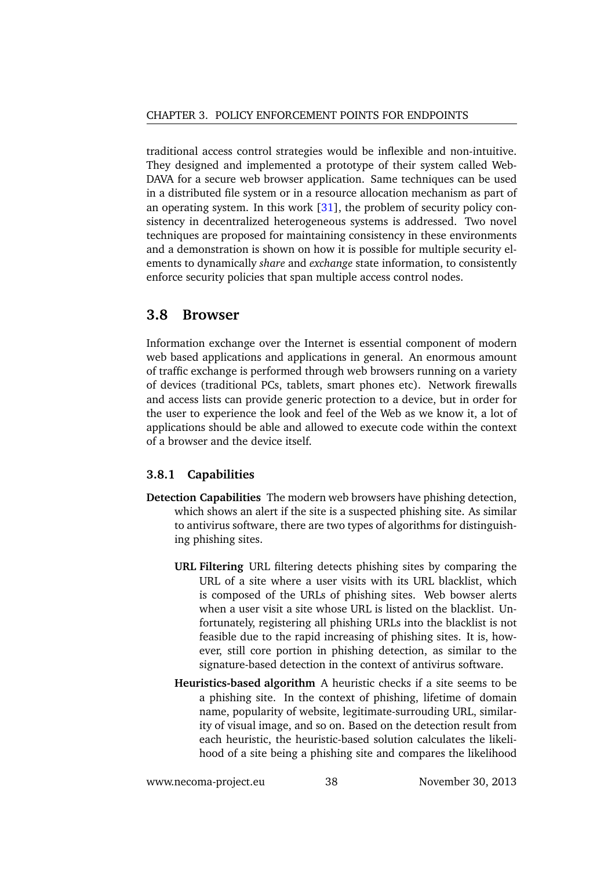traditional access control strategies would be inflexible and non-intuitive. They designed and implemented a prototype of their system called Web-DAVA for a secure web browser application. Same techniques can be used in a distributed file system or in a resource allocation mechanism as part of an operating system. In this work [\[31\]](#page-50-14), the problem of security policy consistency in decentralized heterogeneous systems is addressed. Two novel techniques are proposed for maintaining consistency in these environments and a demonstration is shown on how it is possible for multiple security elements to dynamically *share* and *exchange* state information, to consistently enforce security policies that span multiple access control nodes.

# <span id="page-37-0"></span>**3.8 Browser**

Information exchange over the Internet is essential component of modern web based applications and applications in general. An enormous amount of traffic exchange is performed through web browsers running on a variety of devices (traditional PCs, tablets, smart phones etc). Network firewalls and access lists can provide generic protection to a device, but in order for the user to experience the look and feel of the Web as we know it, a lot of applications should be able and allowed to execute code within the context of a browser and the device itself.

# <span id="page-37-1"></span>**3.8.1 Capabilities**

- **Detection Capabilities** The modern web browsers have phishing detection, which shows an alert if the site is a suspected phishing site. As similar to antivirus software, there are two types of algorithms for distinguishing phishing sites.
	- **URL Filtering** URL filtering detects phishing sites by comparing the URL of a site where a user visits with its URL blacklist, which is composed of the URLs of phishing sites. Web bowser alerts when a user visit a site whose URL is listed on the blacklist. Unfortunately, registering all phishing URLs into the blacklist is not feasible due to the rapid increasing of phishing sites. It is, however, still core portion in phishing detection, as similar to the signature-based detection in the context of antivirus software.
	- **Heuristics-based algorithm** A heuristic checks if a site seems to be a phishing site. In the context of phishing, lifetime of domain name, popularity of website, legitimate-surrouding URL, similarity of visual image, and so on. Based on the detection result from each heuristic, the heuristic-based solution calculates the likelihood of a site being a phishing site and compares the likelihood

www.necoma-project.eu 38 November 30, 2013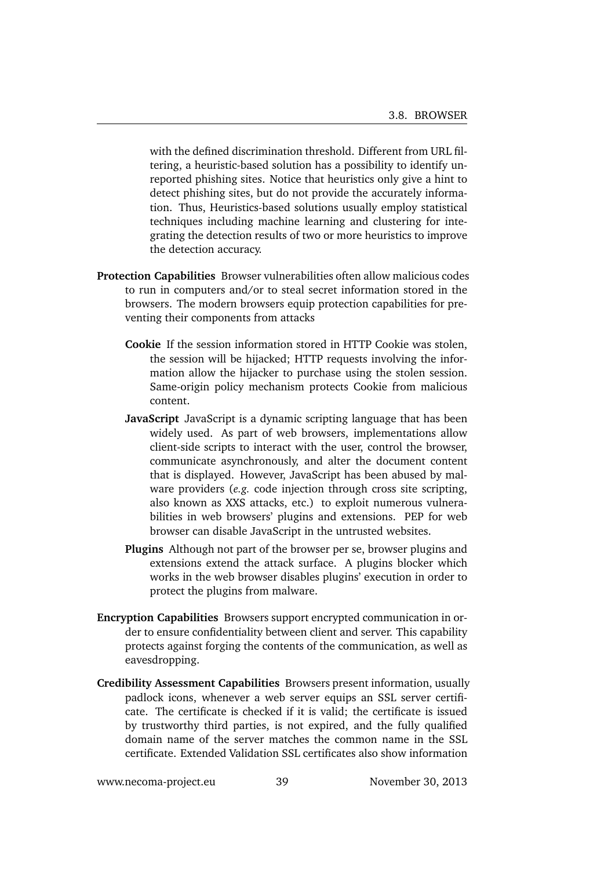with the defined discrimination threshold. Different from URL filtering, a heuristic-based solution has a possibility to identify unreported phishing sites. Notice that heuristics only give a hint to detect phishing sites, but do not provide the accurately information. Thus, Heuristics-based solutions usually employ statistical techniques including machine learning and clustering for integrating the detection results of two or more heuristics to improve the detection accuracy.

- **Protection Capabilities** Browser vulnerabilities often allow malicious codes to run in computers and/or to steal secret information stored in the browsers. The modern browsers equip protection capabilities for preventing their components from attacks
	- **Cookie** If the session information stored in HTTP Cookie was stolen, the session will be hijacked; HTTP requests involving the information allow the hijacker to purchase using the stolen session. Same-origin policy mechanism protects Cookie from malicious content.
	- **JavaScript** JavaScript is a dynamic scripting language that has been widely used. As part of web browsers, implementations allow client-side scripts to interact with the user, control the browser, communicate asynchronously, and alter the document content that is displayed. However, JavaScript has been abused by malware providers (*e.g.* code injection through cross site scripting, also known as XXS attacks, etc.) to exploit numerous vulnerabilities in web browsers' plugins and extensions. PEP for web browser can disable JavaScript in the untrusted websites.
	- **Plugins** Although not part of the browser per se, browser plugins and extensions extend the attack surface. A plugins blocker which works in the web browser disables plugins' execution in order to protect the plugins from malware.
- **Encryption Capabilities** Browsers support encrypted communication in order to ensure confidentiality between client and server. This capability protects against forging the contents of the communication, as well as eavesdropping.
- **Credibility Assessment Capabilities** Browsers present information, usually padlock icons, whenever a web server equips an SSL server certificate. The certificate is checked if it is valid; the certificate is issued by trustworthy third parties, is not expired, and the fully qualified domain name of the server matches the common name in the SSL certificate. Extended Validation SSL certificates also show information

www.necoma-project.eu 39 November 30, 2013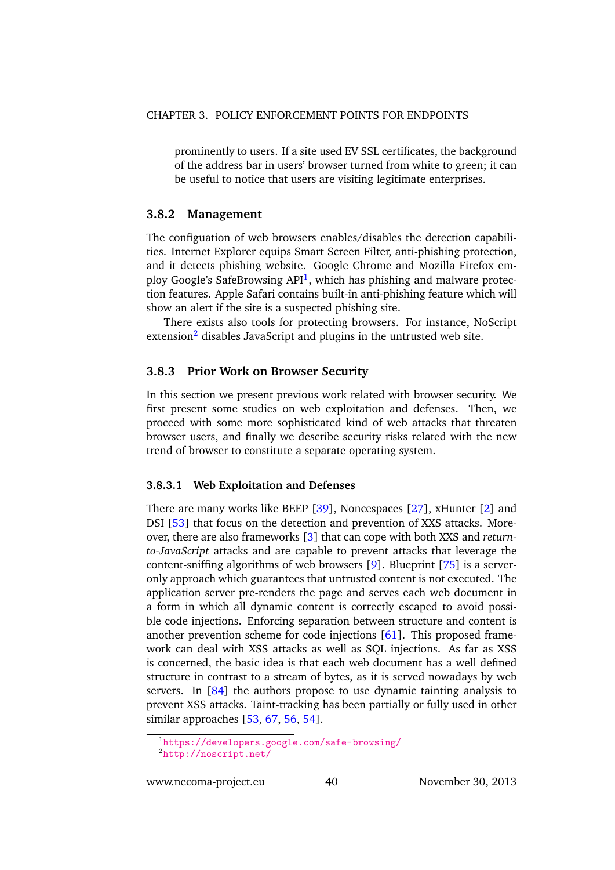prominently to users. If a site used EV SSL certificates, the background of the address bar in users' browser turned from white to green; it can be useful to notice that users are visiting legitimate enterprises.

#### <span id="page-39-0"></span>**3.8.2 Management**

The configuation of web browsers enables/disables the detection capabilities. Internet Explorer equips Smart Screen Filter, anti-phishing protection, and it detects phishing website. Google Chrome and Mozilla Firefox em-ploy Google's SafeBrowsing API<sup>[1](#page-39-2)</sup>, which has phishing and malware protection features. Apple Safari contains built-in anti-phishing feature which will show an alert if the site is a suspected phishing site.

There exists also tools for protecting browsers. For instance, NoScript extension<sup>[2](#page-39-3)</sup> disables JavaScript and plugins in the untrusted web site.

#### <span id="page-39-1"></span>**3.8.3 Prior Work on Browser Security**

In this section we present previous work related with browser security. We first present some studies on web exploitation and defenses. Then, we proceed with some more sophisticated kind of web attacks that threaten browser users, and finally we describe security risks related with the new trend of browser to constitute a separate operating system.

#### **3.8.3.1 Web Exploitation and Defenses**

There are many works like BEEP [\[39\]](#page-50-15), Noncespaces [\[27\]](#page-49-15), xHunter [\[2\]](#page-48-8) and DSI [\[53\]](#page-51-10) that focus on the detection and prevention of XXS attacks. Moreover, there are also frameworks [\[3\]](#page-48-9) that can cope with both XXS and *returnto-JavaScript* attacks and are capable to prevent attacks that leverage the content-sniffing algorithms of web browsers [\[9\]](#page-48-10). Blueprint [\[75\]](#page-52-14) is a serveronly approach which guarantees that untrusted content is not executed. The application server pre-renders the page and serves each web document in a form in which all dynamic content is correctly escaped to avoid possible code injections. Enforcing separation between structure and content is another prevention scheme for code injections [\[61\]](#page-51-11). This proposed framework can deal with XSS attacks as well as SQL injections. As far as XSS is concerned, the basic idea is that each web document has a well defined structure in contrast to a stream of bytes, as it is served nowadays by web servers. In [\[84\]](#page-53-8) the authors propose to use dynamic tainting analysis to prevent XSS attacks. Taint-tracking has been partially or fully used in other similar approaches  $[53, 67, 56, 54]$  $[53, 67, 56, 54]$  $[53, 67, 56, 54]$  $[53, 67, 56, 54]$  $[53, 67, 56, 54]$  $[53, 67, 56, 54]$  $[53, 67, 56, 54]$ .

<span id="page-39-3"></span><span id="page-39-2"></span><sup>&</sup>lt;sup>1</sup><https://developers.google.com/safe-browsing/> <sup>2</sup><http://noscript.net/>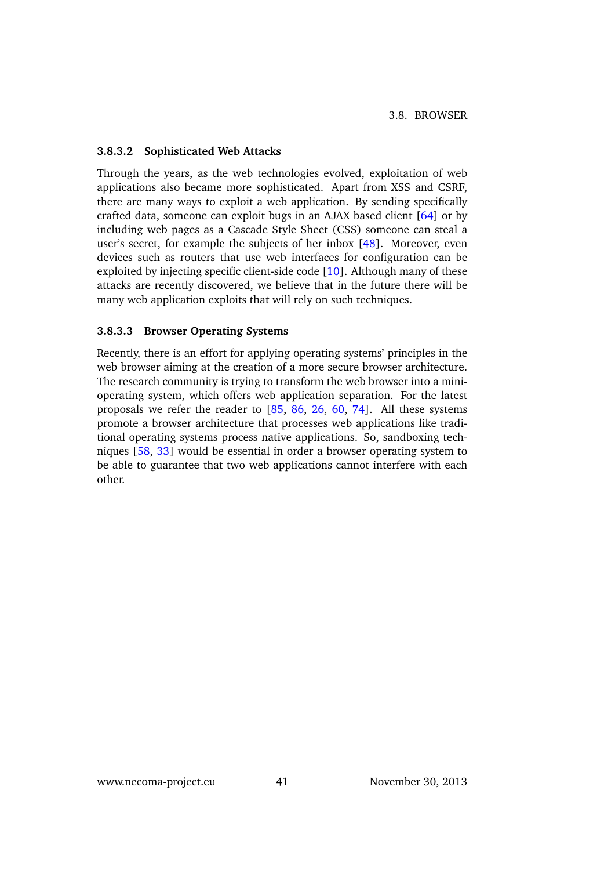#### **3.8.3.2 Sophisticated Web Attacks**

Through the years, as the web technologies evolved, exploitation of web applications also became more sophisticated. Apart from XSS and CSRF, there are many ways to exploit a web application. By sending specifically crafted data, someone can exploit bugs in an AJAX based client [\[64\]](#page-51-14) or by including web pages as a Cascade Style Sheet (CSS) someone can steal a user's secret, for example the subjects of her inbox [\[48\]](#page-51-15). Moreover, even devices such as routers that use web interfaces for configuration can be exploited by injecting specific client-side code [\[10\]](#page-48-11). Although many of these attacks are recently discovered, we believe that in the future there will be many web application exploits that will rely on such techniques.

#### **3.8.3.3 Browser Operating Systems**

Recently, there is an effort for applying operating systems' principles in the web browser aiming at the creation of a more secure browser architecture. The research community is trying to transform the web browser into a minioperating system, which offers web application separation. For the latest proposals we refer the reader to [\[85,](#page-53-9) [86,](#page-53-10) [26,](#page-49-16) [60,](#page-51-16) [74\]](#page-52-16). All these systems promote a browser architecture that processes web applications like traditional operating systems process native applications. So, sandboxing techniques [\[58,](#page-51-17) [33\]](#page-50-16) would be essential in order a browser operating system to be able to guarantee that two web applications cannot interfere with each other.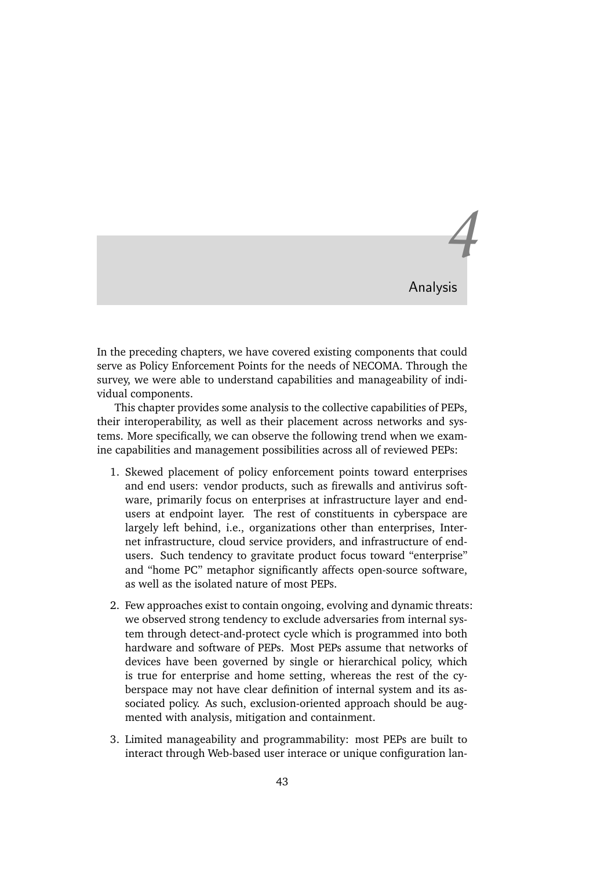*4*

Analysis

<span id="page-42-0"></span>In the preceding chapters, we have covered existing components that could serve as Policy Enforcement Points for the needs of NECOMA. Through the survey, we were able to understand capabilities and manageability of individual components.

This chapter provides some analysis to the collective capabilities of PEPs, their interoperability, as well as their placement across networks and systems. More specifically, we can observe the following trend when we examine capabilities and management possibilities across all of reviewed PEPs:

- 1. Skewed placement of policy enforcement points toward enterprises and end users: vendor products, such as firewalls and antivirus software, primarily focus on enterprises at infrastructure layer and endusers at endpoint layer. The rest of constituents in cyberspace are largely left behind, i.e., organizations other than enterprises, Internet infrastructure, cloud service providers, and infrastructure of endusers. Such tendency to gravitate product focus toward "enterprise" and "home PC" metaphor significantly affects open-source software, as well as the isolated nature of most PEPs.
- 2. Few approaches exist to contain ongoing, evolving and dynamic threats: we observed strong tendency to exclude adversaries from internal system through detect-and-protect cycle which is programmed into both hardware and software of PEPs. Most PEPs assume that networks of devices have been governed by single or hierarchical policy, which is true for enterprise and home setting, whereas the rest of the cyberspace may not have clear definition of internal system and its associated policy. As such, exclusion-oriented approach should be augmented with analysis, mitigation and containment.
- 3. Limited manageability and programmability: most PEPs are built to interact through Web-based user interace or unique configuration lan-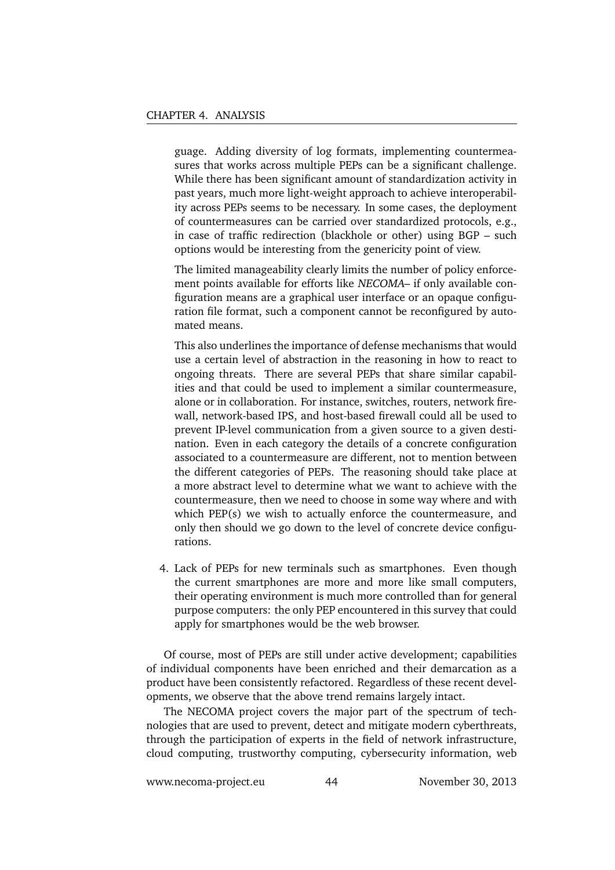guage. Adding diversity of log formats, implementing countermeasures that works across multiple PEPs can be a significant challenge. While there has been significant amount of standardization activity in past years, much more light-weight approach to achieve interoperability across PEPs seems to be necessary. In some cases, the deployment of countermeasures can be carried over standardized protocols, e.g., in case of traffic redirection (blackhole or other) using BGP – such options would be interesting from the genericity point of view.

The limited manageability clearly limits the number of policy enforcement points available for efforts like NECOMA– if only available configuration means are a graphical user interface or an opaque configuration file format, such a component cannot be reconfigured by automated means.

This also underlines the importance of defense mechanisms that would use a certain level of abstraction in the reasoning in how to react to ongoing threats. There are several PEPs that share similar capabilities and that could be used to implement a similar countermeasure, alone or in collaboration. For instance, switches, routers, network firewall, network-based IPS, and host-based firewall could all be used to prevent IP-level communication from a given source to a given destination. Even in each category the details of a concrete configuration associated to a countermeasure are different, not to mention between the different categories of PEPs. The reasoning should take place at a more abstract level to determine what we want to achieve with the countermeasure, then we need to choose in some way where and with which PEP(s) we wish to actually enforce the countermeasure, and only then should we go down to the level of concrete device configurations.

4. Lack of PEPs for new terminals such as smartphones. Even though the current smartphones are more and more like small computers, their operating environment is much more controlled than for general purpose computers: the only PEP encountered in this survey that could apply for smartphones would be the web browser.

Of course, most of PEPs are still under active development; capabilities of individual components have been enriched and their demarcation as a product have been consistently refactored. Regardless of these recent developments, we observe that the above trend remains largely intact.

The NECOMA project covers the major part of the spectrum of technologies that are used to prevent, detect and mitigate modern cyberthreats, through the participation of experts in the field of network infrastructure, cloud computing, trustworthy computing, cybersecurity information, web

www.necoma-project.eu 44 November 30, 2013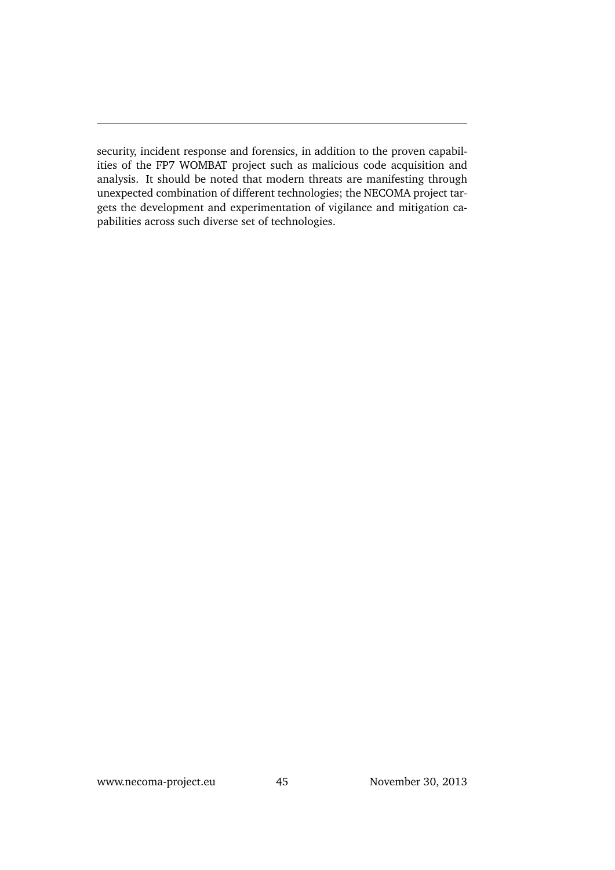security, incident response and forensics, in addition to the proven capabilities of the FP7 WOMBAT project such as malicious code acquisition and analysis. It should be noted that modern threats are manifesting through unexpected combination of different technologies; the NECOMA project targets the development and experimentation of vigilance and mitigation capabilities across such diverse set of technologies.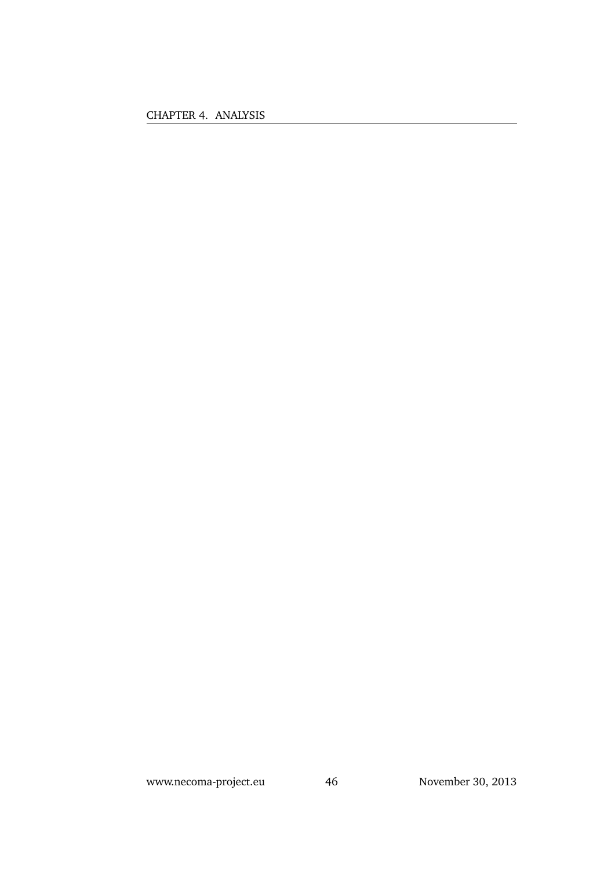CHAPTER 4. ANALYSIS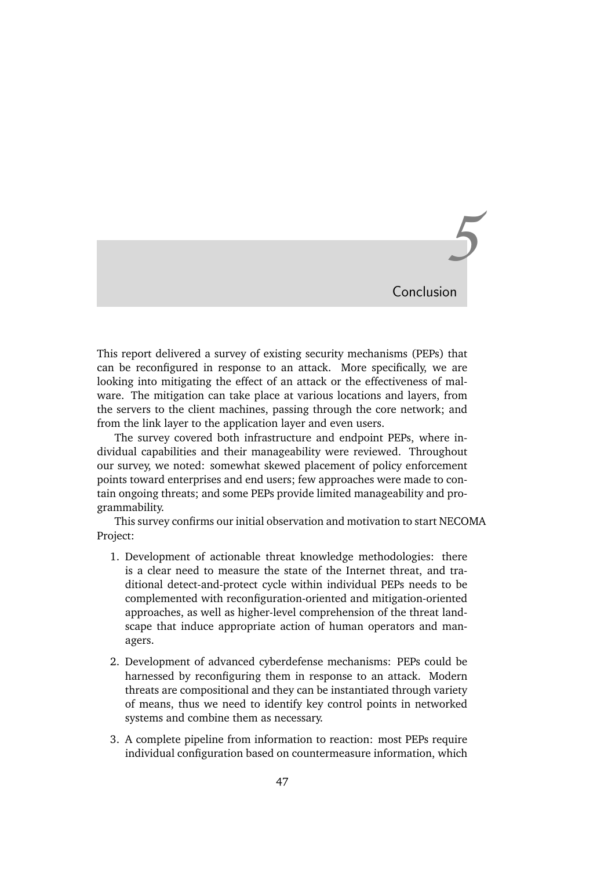*5* Conclusion

<span id="page-46-0"></span>This report delivered a survey of existing security mechanisms (PEPs) that can be reconfigured in response to an attack. More specifically, we are looking into mitigating the effect of an attack or the effectiveness of malware. The mitigation can take place at various locations and layers, from the servers to the client machines, passing through the core network; and from the link layer to the application layer and even users.

The survey covered both infrastructure and endpoint PEPs, where individual capabilities and their manageability were reviewed. Throughout our survey, we noted: somewhat skewed placement of policy enforcement points toward enterprises and end users; few approaches were made to contain ongoing threats; and some PEPs provide limited manageability and programmability.

This survey confirms our initial observation and motivation to start NECOMA Project:

- 1. Development of actionable threat knowledge methodologies: there is a clear need to measure the state of the Internet threat, and traditional detect-and-protect cycle within individual PEPs needs to be complemented with reconfiguration-oriented and mitigation-oriented approaches, as well as higher-level comprehension of the threat landscape that induce appropriate action of human operators and managers.
- 2. Development of advanced cyberdefense mechanisms: PEPs could be harnessed by reconfiguring them in response to an attack. Modern threats are compositional and they can be instantiated through variety of means, thus we need to identify key control points in networked systems and combine them as necessary.
- 3. A complete pipeline from information to reaction: most PEPs require individual configuration based on countermeasure information, which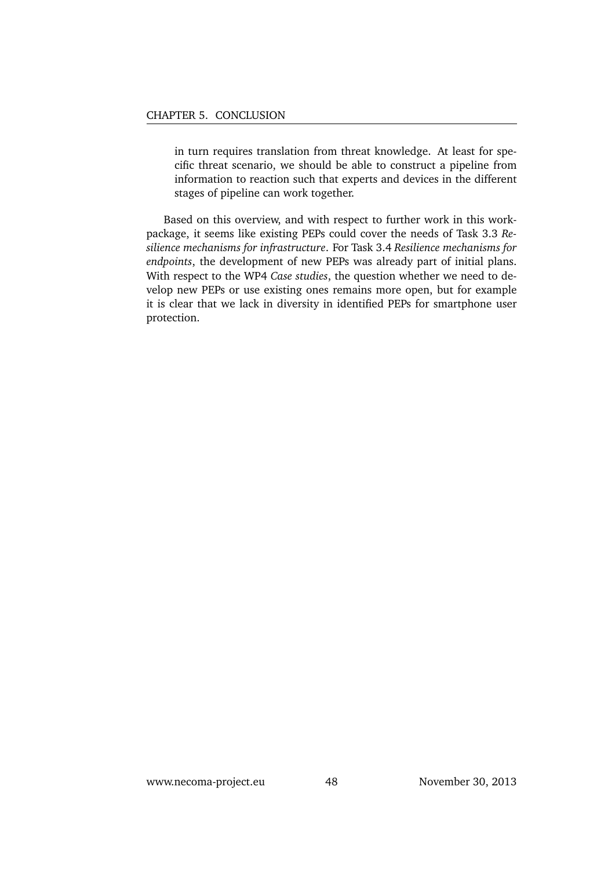in turn requires translation from threat knowledge. At least for specific threat scenario, we should be able to construct a pipeline from information to reaction such that experts and devices in the different stages of pipeline can work together.

Based on this overview, and with respect to further work in this workpackage, it seems like existing PEPs could cover the needs of Task 3.3 *Resilience mechanisms for infrastructure*. For Task 3.4 *Resilience mechanisms for endpoints*, the development of new PEPs was already part of initial plans. With respect to the WP4 *Case studies*, the question whether we need to develop new PEPs or use existing ones remains more open, but for example it is clear that we lack in diversity in identified PEPs for smartphone user protection.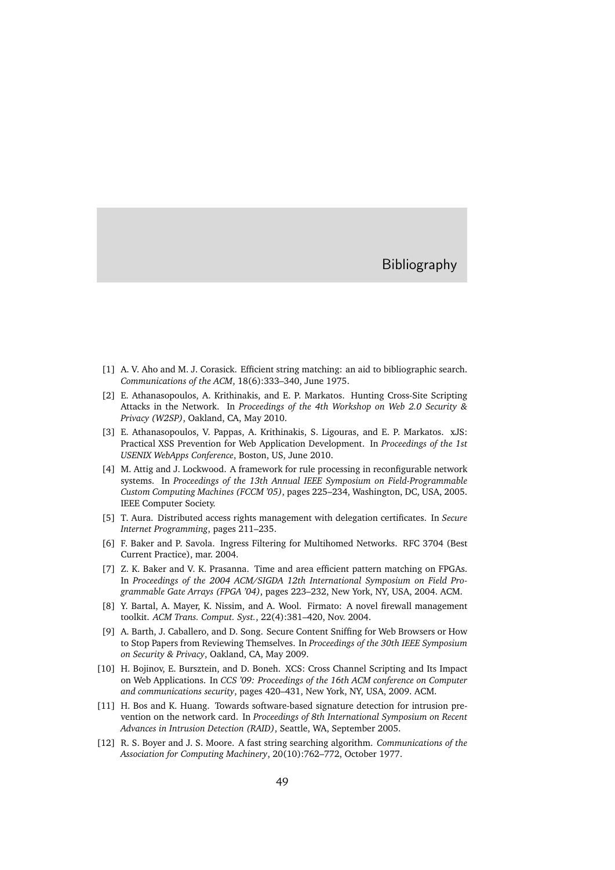# **Bibliography**

- <span id="page-48-4"></span>[1] A. V. Aho and M. J. Corasick. Efficient string matching: an aid to bibliographic search. *Communications of the ACM*, 18(6):333–340, June 1975.
- <span id="page-48-8"></span>[2] E. Athanasopoulos, A. Krithinakis, and E. P. Markatos. Hunting Cross-Site Scripting Attacks in the Network. In *Proceedings of the 4th Workshop on Web 2.0 Security & Privacy (W2SP)*, Oakland, CA, May 2010.
- <span id="page-48-9"></span>[3] E. Athanasopoulos, V. Pappas, A. Krithinakis, S. Ligouras, and E. P. Markatos. xJS: Practical XSS Prevention for Web Application Development. In *Proceedings of the 1st USENIX WebApps Conference*, Boston, US, June 2010.
- <span id="page-48-6"></span>[4] M. Attig and J. Lockwood. A framework for rule processing in reconfigurable network systems. In *Proceedings of the 13th Annual IEEE Symposium on Field-Programmable Custom Computing Machines (FCCM '05)*, pages 225–234, Washington, DC, USA, 2005. IEEE Computer Society.
- <span id="page-48-1"></span>[5] T. Aura. Distributed access rights management with delegation certificates. In *Secure Internet Programming*, pages 211–235.
- <span id="page-48-0"></span>[6] F. Baker and P. Savola. Ingress Filtering for Multihomed Networks. RFC 3704 (Best Current Practice), mar. 2004.
- <span id="page-48-5"></span>[7] Z. K. Baker and V. K. Prasanna. Time and area efficient pattern matching on FPGAs. In *Proceedings of the 2004 ACM/SIGDA 12th International Symposium on Field Programmable Gate Arrays (FPGA '04)*, pages 223–232, New York, NY, USA, 2004. ACM.
- <span id="page-48-2"></span>[8] Y. Bartal, A. Mayer, K. Nissim, and A. Wool. Firmato: A novel firewall management toolkit. *ACM Trans. Comput. Syst.*, 22(4):381–420, Nov. 2004.
- <span id="page-48-10"></span>[9] A. Barth, J. Caballero, and D. Song. Secure Content Sniffing for Web Browsers or How to Stop Papers from Reviewing Themselves. In *Proceedings of the 30th IEEE Symposium on Security & Privacy*, Oakland, CA, May 2009.
- <span id="page-48-11"></span>[10] H. Bojinov, E. Bursztein, and D. Boneh. XCS: Cross Channel Scripting and Its Impact on Web Applications. In *CCS '09: Proceedings of the 16th ACM conference on Computer and communications security*, pages 420–431, New York, NY, USA, 2009. ACM.
- <span id="page-48-7"></span>[11] H. Bos and K. Huang. Towards software-based signature detection for intrusion prevention on the network card. In *Proceedings of 8th International Symposium on Recent Advances in Intrusion Detection (RAID)*, Seattle, WA, September 2005.
- <span id="page-48-3"></span>[12] R. S. Boyer and J. S. Moore. A fast string searching algorithm. *Communications of the Association for Computing Machinery*, 20(10):762–772, October 1977.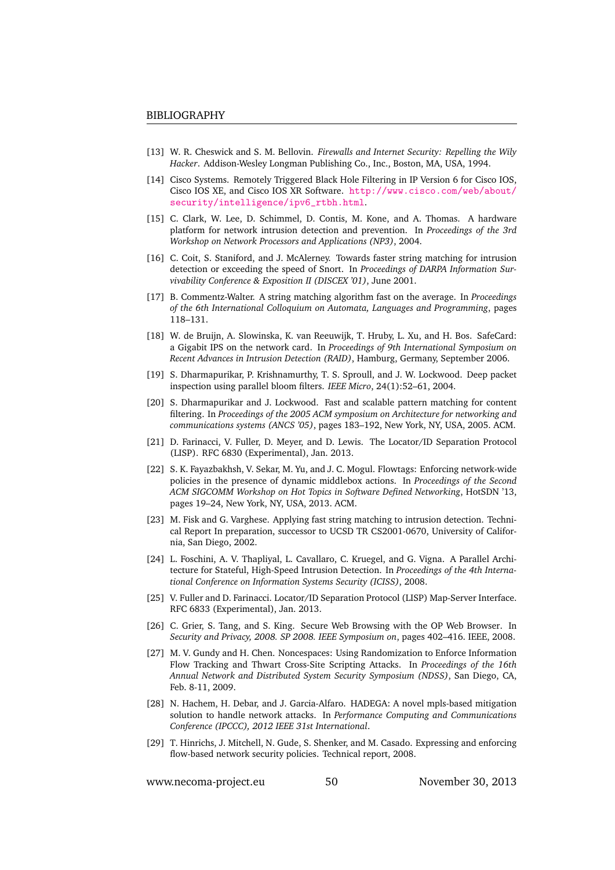- <span id="page-49-2"></span>[13] W. R. Cheswick and S. M. Bellovin. *Firewalls and Internet Security: Repelling the Wily Hacker*. Addison-Wesley Longman Publishing Co., Inc., Boston, MA, USA, 1994.
- <span id="page-49-0"></span>[14] Cisco Systems. Remotely Triggered Black Hole Filtering in IP Version 6 for Cisco IOS, Cisco IOS XE, and Cisco IOS XR Software. [http://www.cisco.com/web/about/](http://www.cisco.com/web/about/security/intelligence/ipv6_rtbh.html) [security/intelligence/ipv6\\_rtbh.html](http://www.cisco.com/web/about/security/intelligence/ipv6_rtbh.html).
- <span id="page-49-8"></span>[15] C. Clark, W. Lee, D. Schimmel, D. Contis, M. Kone, and A. Thomas. A hardware platform for network intrusion detection and prevention. In *Proceedings of the 3rd Workshop on Network Processors and Applications (NP3)*, 2004.
- <span id="page-49-4"></span>[16] C. Coit, S. Staniford, and J. McAlerney. Towards faster string matching for intrusion detection or exceeding the speed of Snort. In *Proceedings of DARPA Information Survivability Conference & Exposition II (DISCEX '01)*, June 2001.
- <span id="page-49-3"></span>[17] B. Commentz-Walter. A string matching algorithm fast on the average. In *Proceedings of the 6th International Colloquium on Automata, Languages and Programming*, pages 118–131.
- <span id="page-49-9"></span>[18] W. de Bruijn, A. Slowinska, K. van Reeuwijk, T. Hruby, L. Xu, and H. Bos. SafeCard: a Gigabit IPS on the network card. In *Proceedings of 9th International Symposium on Recent Advances in Intrusion Detection (RAID)*, Hamburg, Germany, September 2006.
- <span id="page-49-6"></span>[19] S. Dharmapurikar, P. Krishnamurthy, T. S. Sproull, and J. W. Lockwood. Deep packet inspection using parallel bloom filters. *IEEE Micro*, 24(1):52–61, 2004.
- <span id="page-49-7"></span>[20] S. Dharmapurikar and J. Lockwood. Fast and scalable pattern matching for content filtering. In *Proceedings of the 2005 ACM symposium on Architecture for networking and communications systems (ANCS '05)*, pages 183–192, New York, NY, USA, 2005. ACM.
- <span id="page-49-13"></span>[21] D. Farinacci, V. Fuller, D. Meyer, and D. Lewis. The Locator/ID Separation Protocol (LISP). RFC 6830 (Experimental), Jan. 2013.
- <span id="page-49-12"></span>[22] S. K. Fayazbakhsh, V. Sekar, M. Yu, and J. C. Mogul. Flowtags: Enforcing network-wide policies in the presence of dynamic middlebox actions. In *Proceedings of the Second ACM SIGCOMM Workshop on Hot Topics in Software Defined Networking*, HotSDN '13, pages 19–24, New York, NY, USA, 2013. ACM.
- <span id="page-49-5"></span>[23] M. Fisk and G. Varghese. Applying fast string matching to intrusion detection. Technical Report In preparation, successor to UCSD TR CS2001-0670, University of California, San Diego, 2002.
- <span id="page-49-10"></span>[24] L. Foschini, A. V. Thapliyal, L. Cavallaro, C. Kruegel, and G. Vigna. A Parallel Architecture for Stateful, High-Speed Intrusion Detection. In *Proceedings of the 4th International Conference on Information Systems Security (ICISS)*, 2008.
- <span id="page-49-14"></span>[25] V. Fuller and D. Farinacci. Locator/ID Separation Protocol (LISP) Map-Server Interface. RFC 6833 (Experimental), Jan. 2013.
- <span id="page-49-16"></span>[26] C. Grier, S. Tang, and S. King. Secure Web Browsing with the OP Web Browser. In *Security and Privacy, 2008. SP 2008. IEEE Symposium on*, pages 402–416. IEEE, 2008.
- <span id="page-49-15"></span>[27] M. V. Gundy and H. Chen. Noncespaces: Using Randomization to Enforce Information Flow Tracking and Thwart Cross-Site Scripting Attacks. In *Proceedings of the 16th Annual Network and Distributed System Security Symposium (NDSS)*, San Diego, CA, Feb. 8-11, 2009.
- <span id="page-49-1"></span>[28] N. Hachem, H. Debar, and J. Garcia-Alfaro. HADEGA: A novel mpls-based mitigation solution to handle network attacks. In *Performance Computing and Communications Conference (IPCCC), 2012 IEEE 31st International*.
- <span id="page-49-11"></span>[29] T. Hinrichs, J. Mitchell, N. Gude, S. Shenker, and M. Casado. Expressing and enforcing flow-based network security policies. Technical report, 2008.

www.necoma-project.eu 50 November 30, 2013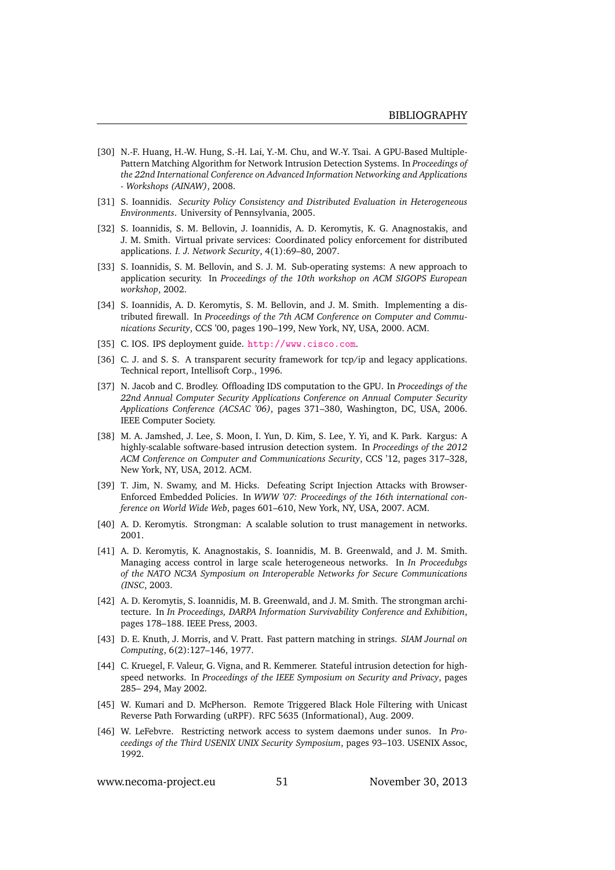- <span id="page-50-11"></span>[30] N.-F. Huang, H.-W. Hung, S.-H. Lai, Y.-M. Chu, and W.-Y. Tsai. A GPU-Based Multiple-Pattern Matching Algorithm for Network Intrusion Detection Systems. In *Proceedings of the 22nd International Conference on Advanced Information Networking and Applications - Workshops (AINAW)*, 2008.
- <span id="page-50-14"></span>[31] S. Ioannidis. *Security Policy Consistency and Distributed Evaluation in Heterogeneous Environments*. University of Pennsylvania, 2005.
- <span id="page-50-13"></span>[32] S. Ioannidis, S. M. Bellovin, J. Ioannidis, A. D. Keromytis, K. G. Anagnostakis, and J. M. Smith. Virtual private services: Coordinated policy enforcement for distributed applications. *I. J. Network Security*, 4(1):69–80, 2007.
- <span id="page-50-16"></span>[33] S. Ioannidis, S. M. Bellovin, and S. J. M. Sub-operating systems: A new approach to application security. In *Proceedings of the 10th workshop on ACM SIGOPS European workshop*, 2002.
- <span id="page-50-6"></span>[34] S. Ioannidis, A. D. Keromytis, S. M. Bellovin, and J. M. Smith. Implementing a distributed firewall. In *Proceedings of the 7th ACM Conference on Computer and Communications Security*, CCS '00, pages 190–199, New York, NY, USA, 2000. ACM.
- <span id="page-50-8"></span>[35] C. IOS. IPS deployment guide. <http://www.cisco.com>.
- <span id="page-50-5"></span>[36] C. J. and S. S. A transparent security framework for tcp/ip and legacy applications. Technical report, Intellisoft Corp., 1996.
- <span id="page-50-10"></span>[37] N. Jacob and C. Brodley. Offloading IDS computation to the GPU. In *Proceedings of the 22nd Annual Computer Security Applications Conference on Annual Computer Security Applications Conference (ACSAC '06)*, pages 371–380, Washington, DC, USA, 2006. IEEE Computer Society.
- <span id="page-50-12"></span>[38] M. A. Jamshed, J. Lee, S. Moon, I. Yun, D. Kim, S. Lee, Y. Yi, and K. Park. Kargus: A highly-scalable software-based intrusion detection system. In *Proceedings of the 2012 ACM Conference on Computer and Communications Security*, CCS '12, pages 317–328, New York, NY, USA, 2012. ACM.
- <span id="page-50-15"></span>[39] T. Jim, N. Swamy, and M. Hicks. Defeating Script Injection Attacks with Browser-Enforced Embedded Policies. In *WWW '07: Proceedings of the 16th international conference on World Wide Web*, pages 601–610, New York, NY, USA, 2007. ACM.
- <span id="page-50-2"></span>[40] A. D. Keromytis. Strongman: A scalable solution to trust management in networks. 2001.
- <span id="page-50-4"></span>[41] A. D. Keromytis, K. Anagnostakis, S. Ioannidis, M. B. Greenwald, and J. M. Smith. Managing access control in large scale heterogeneous networks. In *In Proceedubgs of the NATO NC3A Symposium on Interoperable Networks for Secure Communications (INSC*, 2003.
- <span id="page-50-3"></span>[42] A. D. Keromytis, S. Ioannidis, M. B. Greenwald, and J. M. Smith. The strongman architecture. In *In Proceedings, DARPA Information Survivability Conference and Exhibition*, pages 178–188. IEEE Press, 2003.
- <span id="page-50-7"></span>[43] D. E. Knuth, J. Morris, and V. Pratt. Fast pattern matching in strings. *SIAM Journal on Computing*, 6(2):127–146, 1977.
- <span id="page-50-9"></span>[44] C. Kruegel, F. Valeur, G. Vigna, and R. Kemmerer. Stateful intrusion detection for highspeed networks. In *Proceedings of the IEEE Symposium on Security and Privacy*, pages 285– 294, May 2002.
- <span id="page-50-0"></span>[45] W. Kumari and D. McPherson. Remote Triggered Black Hole Filtering with Unicast Reverse Path Forwarding (uRPF). RFC 5635 (Informational), Aug. 2009.
- <span id="page-50-1"></span>[46] W. LeFebvre. Restricting network access to system daemons under sunos. In *Proceedings of the Third USENIX UNIX Security Symposium*, pages 93–103. USENIX Assoc, 1992.

www.necoma-project.eu 51 November 30, 2013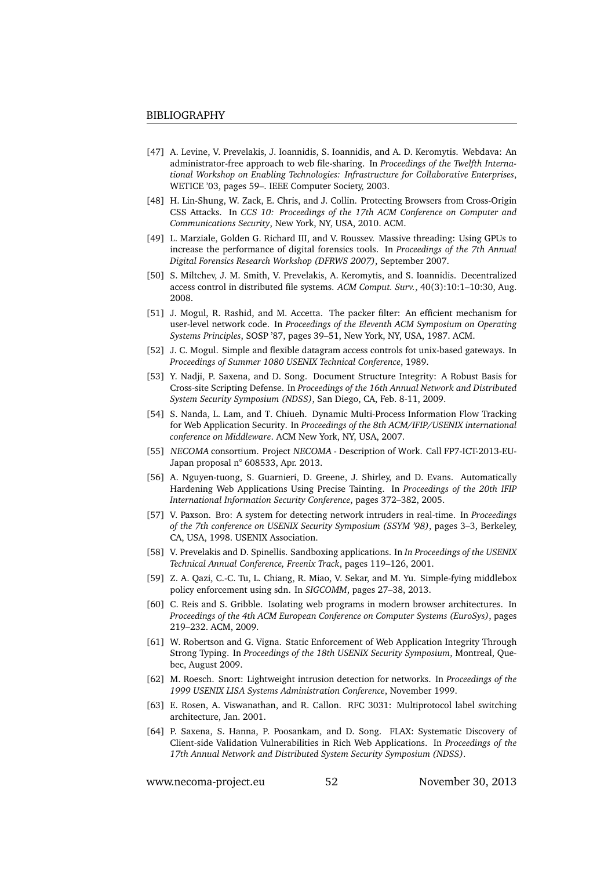- <span id="page-51-9"></span>[47] A. Levine, V. Prevelakis, J. Ioannidis, S. Ioannidis, and A. D. Keromytis. Webdava: An administrator-free approach to web file-sharing. In *Proceedings of the Twelfth International Workshop on Enabling Technologies: Infrastructure for Collaborative Enterprises*, WETICE '03, pages 59–. IEEE Computer Society, 2003.
- <span id="page-51-15"></span>[48] H. Lin-Shung, W. Zack, E. Chris, and J. Collin. Protecting Browsers from Cross-Origin CSS Attacks. In *CCS 10: Proceedings of the 17th ACM Conference on Computer and Communications Security*, New York, NY, USA, 2010. ACM.
- <span id="page-51-6"></span>[49] L. Marziale, Golden G. Richard III, and V. Roussev. Massive threading: Using GPUs to increase the performance of digital forensics tools. In *Proceedings of the 7th Annual Digital Forensics Research Workshop (DFRWS 2007)*, September 2007.
- <span id="page-51-8"></span>[50] S. Miltchev, J. M. Smith, V. Prevelakis, A. Keromytis, and S. Ioannidis. Decentralized access control in distributed file systems. *ACM Comput. Surv.*, 40(3):10:1–10:30, Aug. 2008.
- <span id="page-51-2"></span>[51] J. Mogul, R. Rashid, and M. Accetta. The packer filter: An efficient mechanism for user-level network code. In *Proceedings of the Eleventh ACM Symposium on Operating Systems Principles*, SOSP '87, pages 39–51, New York, NY, USA, 1987. ACM.
- <span id="page-51-3"></span>[52] J. C. Mogul. Simple and flexible datagram access controls fot unix-based gateways. In *Proceedings of Summer 1080 USENIX Technical Conference*, 1989.
- <span id="page-51-10"></span>[53] Y. Nadji, P. Saxena, and D. Song. Document Structure Integrity: A Robust Basis for Cross-site Scripting Defense. In *Proceedings of the 16th Annual Network and Distributed System Security Symposium (NDSS)*, San Diego, CA, Feb. 8-11, 2009.
- <span id="page-51-13"></span>[54] S. Nanda, L. Lam, and T. Chiueh. Dynamic Multi-Process Information Flow Tracking for Web Application Security. In *Proceedings of the 8th ACM/IFIP/USENIX international conference on Middleware*. ACM New York, NY, USA, 2007.
- <span id="page-51-0"></span>[55] NECOMA consortium. Project NECOMA - Description of Work. Call FP7-ICT-2013-EU-Japan proposal n° 608533, Apr. 2013.
- <span id="page-51-12"></span>[56] A. Nguyen-tuong, S. Guarnieri, D. Greene, J. Shirley, and D. Evans. Automatically Hardening Web Applications Using Precise Tainting. In *Proceedings of the 20th IFIP International Information Security Conference*, pages 372–382, 2005.
- <span id="page-51-5"></span>[57] V. Paxson. Bro: A system for detecting network intruders in real-time. In *Proceedings of the 7th conference on USENIX Security Symposium (SSYM '98)*, pages 3–3, Berkeley, CA, USA, 1998. USENIX Association.
- <span id="page-51-17"></span>[58] V. Prevelakis and D. Spinellis. Sandboxing applications. In *In Proceedings of the USENIX Technical Annual Conference, Freenix Track*, pages 119–126, 2001.
- <span id="page-51-7"></span>[59] Z. A. Qazi, C.-C. Tu, L. Chiang, R. Miao, V. Sekar, and M. Yu. Simple-fying middlebox policy enforcement using sdn. In *SIGCOMM*, pages 27–38, 2013.
- <span id="page-51-16"></span>[60] C. Reis and S. Gribble. Isolating web programs in modern browser architectures. In *Proceedings of the 4th ACM European Conference on Computer Systems (EuroSys)*, pages 219–232. ACM, 2009.
- <span id="page-51-11"></span>[61] W. Robertson and G. Vigna. Static Enforcement of Web Application Integrity Through Strong Typing. In *Proceedings of the 18th USENIX Security Symposium*, Montreal, Quebec, August 2009.
- <span id="page-51-4"></span>[62] M. Roesch. Snort: Lightweight intrusion detection for networks. In *Proceedings of the 1999 USENIX LISA Systems Administration Conference*, November 1999.
- <span id="page-51-1"></span>[63] E. Rosen, A. Viswanathan, and R. Callon. RFC 3031: Multiprotocol label switching architecture, Jan. 2001.
- <span id="page-51-14"></span>[64] P. Saxena, S. Hanna, P. Poosankam, and D. Song. FLAX: Systematic Discovery of Client-side Validation Vulnerabilities in Rich Web Applications. In *Proceedings of the 17th Annual Network and Distributed System Security Symposium (NDSS)*.

www.necoma-project.eu 52 November 30, 2013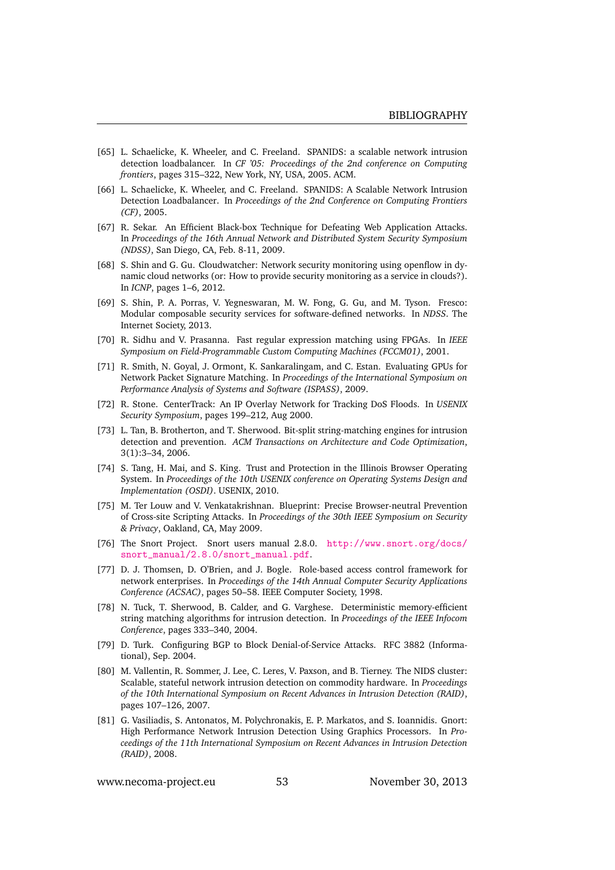- <span id="page-52-8"></span>[65] L. Schaelicke, K. Wheeler, and C. Freeland. SPANIDS: a scalable network intrusion detection loadbalancer. In *CF '05: Proceedings of the 2nd conference on Computing frontiers*, pages 315–322, New York, NY, USA, 2005. ACM.
- <span id="page-52-9"></span>[66] L. Schaelicke, K. Wheeler, and C. Freeland. SPANIDS: A Scalable Network Intrusion Detection Loadbalancer. In *Proceedings of the 2nd Conference on Computing Frontiers (CF)*, 2005.
- <span id="page-52-15"></span>[67] R. Sekar. An Efficient Black-box Technique for Defeating Web Application Attacks. In *Proceedings of the 16th Annual Network and Distributed System Security Symposium (NDSS)*, San Diego, CA, Feb. 8-11, 2009.
- <span id="page-52-13"></span>[68] S. Shin and G. Gu. Cloudwatcher: Network security monitoring using openflow in dynamic cloud networks (or: How to provide security monitoring as a service in clouds?). In *ICNP*, pages 1–6, 2012.
- <span id="page-52-12"></span>[69] S. Shin, P. A. Porras, V. Yegneswaran, M. W. Fong, G. Gu, and M. Tyson. Fresco: Modular composable security services for software-defined networks. In *NDSS*. The Internet Society, 2013.
- <span id="page-52-5"></span>[70] R. Sidhu and V. Prasanna. Fast regular expression matching using FPGAs. In *IEEE Symposium on Field-Programmable Custom Computing Machines (FCCM01)*, 2001.
- <span id="page-52-11"></span>[71] R. Smith, N. Goyal, J. Ormont, K. Sankaralingam, and C. Estan. Evaluating GPUs for Network Packet Signature Matching. In *Proceedings of the International Symposium on Performance Analysis of Systems and Software (ISPASS)*, 2009.
- <span id="page-52-1"></span>[72] R. Stone. CenterTrack: An IP Overlay Network for Tracking DoS Floods. In *USENIX Security Symposium*, pages 199–212, Aug 2000.
- <span id="page-52-6"></span>[73] L. Tan, B. Brotherton, and T. Sherwood. Bit-split string-matching engines for intrusion detection and prevention. *ACM Transactions on Architecture and Code Optimization*, 3(1):3–34, 2006.
- <span id="page-52-16"></span>[74] S. Tang, H. Mai, and S. King. Trust and Protection in the Illinois Browser Operating System. In *Proceedings of the 10th USENIX conference on Operating Systems Design and Implementation (OSDI)*. USENIX, 2010.
- <span id="page-52-14"></span>[75] M. Ter Louw and V. Venkatakrishnan. Blueprint: Precise Browser-neutral Prevention of Cross-site Scripting Attacks. In *Proceedings of the 30th IEEE Symposium on Security & Privacy*, Oakland, CA, May 2009.
- <span id="page-52-4"></span>[76] The Snort Project. Snort users manual 2.8.0. [http://www.snort.org/docs/](http://www.snort.org/docs/snort_manual/2.8.0/snort_manual.pdf) [snort\\_manual/2.8.0/snort\\_manual.pdf](http://www.snort.org/docs/snort_manual/2.8.0/snort_manual.pdf).
- <span id="page-52-2"></span>[77] D. J. Thomsen, D. O'Brien, and J. Bogle. Role-based access control framework for network enterprises. In *Proceedings of the 14th Annual Computer Security Applications Conference (ACSAC)*, pages 50–58. IEEE Computer Society, 1998.
- <span id="page-52-3"></span>[78] N. Tuck, T. Sherwood, B. Calder, and G. Varghese. Deterministic memory-efficient string matching algorithms for intrusion detection. In *Proceedings of the IEEE Infocom Conference*, pages 333–340, 2004.
- <span id="page-52-0"></span>[79] D. Turk. Configuring BGP to Block Denial-of-Service Attacks. RFC 3882 (Informational), Sep. 2004.
- <span id="page-52-7"></span>[80] M. Vallentin, R. Sommer, J. Lee, C. Leres, V. Paxson, and B. Tierney. The NIDS cluster: Scalable, stateful network intrusion detection on commodity hardware. In *Proceedings of the 10th International Symposium on Recent Advances in Intrusion Detection (RAID)*, pages 107–126, 2007.
- <span id="page-52-10"></span>[81] G. Vasiliadis, S. Antonatos, M. Polychronakis, E. P. Markatos, and S. Ioannidis. Gnort: High Performance Network Intrusion Detection Using Graphics Processors. In *Proceedings of the 11th International Symposium on Recent Advances in Intrusion Detection (RAID)*, 2008.

www.necoma-project.eu 53 November 30, 2013